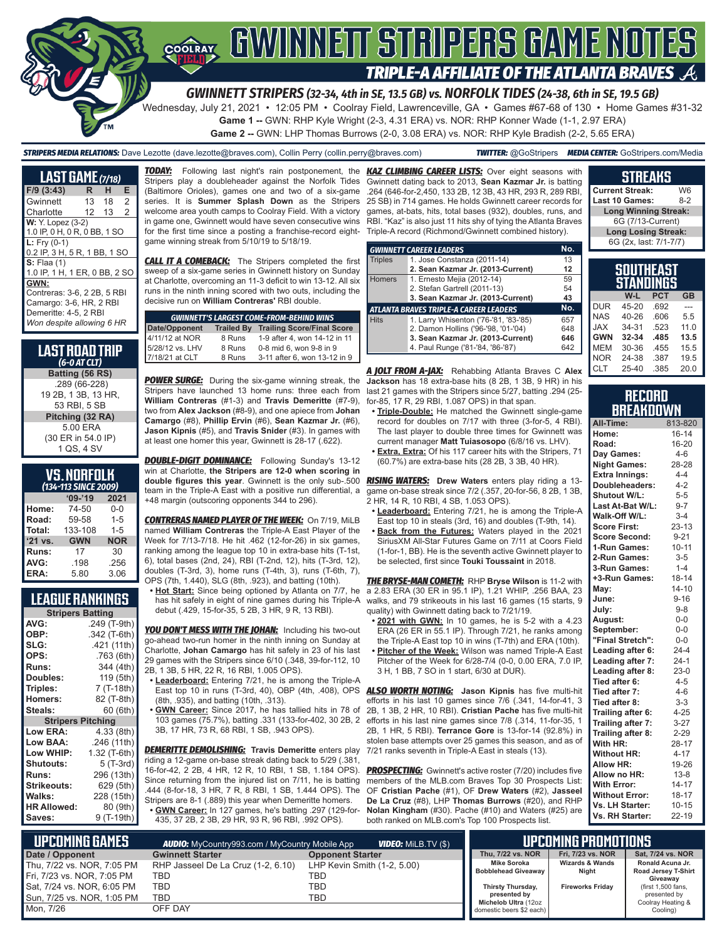

#### *GWINNETT STRIPERS (32-34, 4th in SE, 13.5 GB) vs. NORFOLK TIDES (24-38, 6th in SE, 19.5 GB)*

Wednesday, July 21, 2021 • 12:05 PM • Coolray Field, Lawrenceville, GA • Games #67-68 of 130 • Home Games #31-32

**Game 1 --** GWN: RHP Kyle Wright (2-3, 4.31 ERA) vs. NOR: RHP Konner Wade (1-1, 2.97 ERA)

**Game 2 --** GWN: LHP Thomas Burrows (2-0, 3.08 ERA) vs. NOR: RHP Kyle Bradish (2-2, 5.65 ERA)

*STRIPERS MEDIA RELATIONS:* Dave Lezotte (dave.lezotte@braves.com), Collin Perry (collin.perry@braves.com) *TWITTER:* @GoStripers *MEDIA CENTER:* GoStripers.com/Media

| <b>LAST GAME</b> (7/18)                                                                                              |     |    |                |
|----------------------------------------------------------------------------------------------------------------------|-----|----|----------------|
| $F/9$ (3:43)                                                                                                         | R   | н  | Е              |
| Gwinnett                                                                                                             | 13  | 18 | 2              |
| Charlotte                                                                                                            | 12. | 13 | $\mathfrak{p}$ |
| W: Y. Lopez (3-2)<br>1.0 IP, 0 H, 0 R, 0 BB, 1 SO                                                                    |     |    |                |
| $L: Fry (0-1)$<br>0.2 IP, 3 H, 5 R, 1 BB, 1 SO                                                                       |     |    |                |
| $S:$ Flaa $(1)$<br>1.0 IP, 1 H, 1 ER, 0 BB, 2 SO                                                                     |     |    |                |
| GWN:<br>Contreras: 3-6, 2 2B, 5 RBI<br>Camargo: 3-6, HR, 2 RBI<br>Demeritte: 4-5, 2 RBI<br>Won despite allowing 6 HR |     |    |                |

#### **LAST ROAD TRIP**  *(6-0 AT CLT)* **Batting (56 RS)** .289 (66-228) 19 2B, 1 3B, 13 HR, 53 RBI, 5 SB **Pitching (32 RA)** 5.00 ERA (30 ER in 54.0 IP) 1 QS, 4 SV

| <b>VS.NORFOLK</b>          |  |  |
|----------------------------|--|--|
| $(42)$ $(42)$ $CIRCT 2000$ |  |  |

| (134-113 SINCE 2009) |            |            |  |  |
|----------------------|------------|------------|--|--|
|                      | $09 - 19$  | 2021       |  |  |
| Home:                | 74-50      | 0-0        |  |  |
| Road:                | 59-58      | $1 - 5$    |  |  |
| Total:               | 133-108    | $1 - 5$    |  |  |
| '21 vs.              | <b>GWN</b> | <b>NOR</b> |  |  |
| Runs:                | 17         | 30         |  |  |
| AVG:                 | .198       | .256       |  |  |
| ERA:                 | 5.80       | 3.06       |  |  |

### **LEAGUE RANKINGS**

| <b>Stripers Batting</b>  |              |  |  |
|--------------------------|--------------|--|--|
| AVG:                     | .249 (T-9th) |  |  |
| OBP:                     | .342 (T-6th) |  |  |
| SLG:                     | .421 (11th)  |  |  |
| OPS:                     | .763 (6th)   |  |  |
| <b>Runs:</b>             | 344 (4th)    |  |  |
| Doubles:                 | 119 (5th)    |  |  |
| Triples:                 | 7 (T-18th)   |  |  |
| Homers:                  | 82 (T-8th)   |  |  |
| Steals:                  | 60 (6th)     |  |  |
| <b>Stripers Pitching</b> |              |  |  |
| Low ERA:                 | 4.33 (8th)   |  |  |
| <b>Low BAA:</b>          | .246 (11th)  |  |  |
| Low WHIP:                | 1.32 (T-6th) |  |  |
| <b>Shutouts:</b>         | 5 (T-3rd)    |  |  |
| Runs:                    | 296 (13th)   |  |  |
| <b>Strikeouts:</b>       | 629 (5th)    |  |  |
| Walks:                   | 228 (15th)   |  |  |
| <b>HR Allowed:</b>       | 80 (9th)     |  |  |
| Saves:                   | 9 (T-19th)   |  |  |

*TODAY:* Following last night's rain postponement, the *KAZ CLIMBING CAREER LISTS:* Over eight seasons with Stripers play a doubleheader against the Norfolk Tides (Baltimore Orioles), games one and two of a six-game series. It is **Summer Splash Down** as the Stripers welcome area youth camps to Coolray Field. With a victory in game one, Gwinnett would have seven consecutive wins for the first time since a posting a franchise-record eightgame winning streak from 5/10/19 to 5/18/19.

**CALL IT A COMEBACK:** The Stripers completed the first sweep of a six-game series in Gwinnett history on Sunday at Charlotte, overcoming an 11-3 deficit to win 13-12. All six runs in the ninth inning scored with two outs, including the decisive run on **William Contreras'** RBI double.

| <b>GWINNETT'S LARGEST COME-FROM-BEHIND WINS</b> |                   |                                   |  |  |
|-------------------------------------------------|-------------------|-----------------------------------|--|--|
|                                                 | <b>Trailed By</b> | <b>Trailing Score/Final Score</b> |  |  |
| Date/Opponent<br>4/11/12 at NOR                 | 8 Runs            | 1-9 after 4, won 14-12 in 11      |  |  |
| 5/28/12 vs. LHV                                 | 8 Runs            | 0-8 mid 6, won 9-8 in 9           |  |  |
| 7/18/21 at CLT                                  | 8 Runs            | 3-11 after 6, won 13-12 in 9      |  |  |

**POWER SURGE:** During the six-game winning streak, the Stripers have launched 13 home runs: three each from **William Contreras** (#1-3) and **Travis Demeritte** (#7-9), two from **Alex Jackson** (#8-9), and one apiece from **Johan Camargo** (#8), **Phillip Ervin** (#6), **Sean Kazmar Jr.** (#6), **Jason Kipnis** (#5), and **Travis Snider** (#3). In games with at least one homer this year, Gwinnett is 28-17 (.622).

**DOUBLE-DIGIT DOMINANCE:** Following Sunday's 13-12 win at Charlotte, **the Stripers are 12-0 when scoring in**  team in the Triple-A East with a positive run differential, a +48 margin (outscoring opponents 344 to 296).

*CONTRERAS NAMED PLAYER OF THE WEEK:* On 7/19, MiLB named **William Contreras** the Triple-A East Player of the Week for 7/13-7/18. He hit .462 (12-for-26) in six games, ranking among the league top 10 in extra-base hits (T-1st, 6), total bases (2nd, 24), RBI (T-2nd, 12), hits (T-3rd, 12), doubles (T-3rd, 3), home runs (T-4th, 3), runs (T-6th, 7), OPS (7th, 1.440), SLG (8th, .923), and batting (10th).

**• Hot Start:** Since being optioned by Atlanta on 7/7, he has hit safely in eight of nine games during his Triple-A debut (.429, 15-for-35, 5 2B, 3 HR, 9 R, 13 RBI).

**YOU DON'T MESS WITH THE JOHAN:** Including his two-out go-ahead two-run homer in the ninth inning on Sunday at Charlotte, **Johan Camargo** has hit safely in 23 of his last 29 games with the Stripers since 6/10 (.348, 39-for-112, 10 2B, 1 3B, 5 HR, 22 R, 16 RBI, 1.005 OPS).

- **• Leaderboard:** Entering 7/21, he is among the Triple-A East top 10 in runs (T-3rd, 40), OBP (4th, .408), OPS (8th, .935), and batting (10th, .313).
- **• GWN Career:** Since 2017, he has tallied hits in 78 of 103 games (75.7%), batting .331 (133-for-402, 30 2B, 2 3B, 17 HR, 73 R, 68 RBI, 1 SB, .943 OPS).

*DEMERITTE DEMOLISHING:* **Travis Demeritte** enters play riding a 12-game on-base streak dating back to 5/29 (.381, 16-for-42, 2 2B, 4 HR, 12 R, 10 RBI, 1 SB, 1.184 OPS). Since returning from the injured list on 7/11, he is batting .444 (8-for-18, 3 HR, 7 R, 8 RBI, 1 SB, 1.444 OPS). The Stripers are 8-1 (.889) this year when Demeritte homers. **• GWN Career:** In 127 games, he's batting .297 (129-for-

435, 37 2B, 2 3B, 29 HR, 93 R, 96 RBI, .992 OPS).

Gwinnett dating back to 2013, **Sean Kazmar Jr.** is batting .264 (646-for-2,450, 133 2B, 12 3B, 43 HR, 293 R, 289 RBI, 25 SB) in 714 games. He holds Gwinnett career records for games, at-bats, hits, total bases (932), doubles, runs, and RBI. "Kaz" is also just 11 hits shy of tying the Atlanta Braves Triple-A record (Richmond/Gwinnett combined history).

|                | <b>GWINNETT CAREER LEADERS</b>                | No. |
|----------------|-----------------------------------------------|-----|
| <b>Triples</b> | 1. Jose Constanza (2011-14)                   | 13  |
|                | 2. Sean Kazmar Jr. (2013-Current)             | 12  |
| <b>Homers</b>  | 1. Ernesto Mejia (2012-14)                    | 59  |
|                | 2. Stefan Gartrell (2011-13)                  | 54  |
|                | 3. Sean Kazmar Jr. (2013-Current)             | 43  |
|                | <b>ATLANTA BRAVES TRIPLE-A CAREER LEADERS</b> | No. |
| <b>Hits</b>    | 1. Larry Whisenton ('76-'81, '83-'85)         | 657 |
|                | 2. Damon Hollins ('96-'98, '01-'04)           | 648 |
|                | 3. Sean Kazmar Jr. (2013-Current)             | 646 |
|                | 4. Paul Runge ('81-'84, '86-'87)              | 642 |

*A JOLT FROM A-JAX:* Rehabbing Atlanta Braves C **Alex Jackson** has 18 extra-base hits (8 2B, 1 3B, 9 HR) in his last 21 games with the Stripers since 5/27, batting .294 (25 for-85, 17 R, 29 RBI, 1.087 OPS) in that span.

- **• Triple-Double:** He matched the Gwinnett single-game record for doubles on 7/17 with three (3-for-5, 4 RBI). The last player to double three times for Gwinnett was current manager **Matt Tuiasosopo** (6/8/16 vs. LHV).
- **• Extra, Extra:** Of his 117 career hits with the Stripers, 71 (60.7%) are extra-base hits (28 2B, 3 3B, 40 HR).

**double figures this year**. Gwinnett is the only sub-.500 *RISING WATERS:* **Drew Waters** enters play riding a 13 game on-base streak since 7/2 (.357, 20-for-56, 8 2B, 1 3B, 2 HR, 14 R, 10 RBI, 4 SB, 1.053 OPS).

- **• Leaderboard:** Entering 7/21, he is among the Triple-A East top 10 in steals (3rd, 16) and doubles (T-9th, 14).
- **• Back from the Futures:** Waters played in the 2021 SiriusXM All-Star Futures Game on 7/11 at Coors Field (1-for-1, BB). He is the seventh active Gwinnett player to be selected, first since **Touki Toussaint** in 2018.

*THE BRYSE-MAN COMETH:* RHP **Bryse Wilson** is 11-2 with a 2.83 ERA (30 ER in 95.1 IP), 1.21 WHIP, .256 BAA, 23 walks, and 79 strikeouts in his last 16 games (15 starts, 9 quality) with Gwinnett dating back to 7/21/19.

- **• 2021 with GWN:** In 10 games, he is 5-2 with a 4.23 ERA (26 ER in 55.1 IP). Through 7/21, he ranks among the Triple-A East top 10 in wins (T-7th) and ERA (10th).
- **• Pitcher of the Week:** Wilson was named Triple-A East Pitcher of the Week for 6/28-7/4 (0-0, 0.00 ERA, 7.0 IP, 3 H, 1 BB, 7 SO in 1 start, 6/30 at DUR).

*ALSO WORTH NOTING:* **Jason Kipnis** has five multi-hit efforts in his last 10 games since 7/6 (.341, 14-for-41, 3 2B, 1 3B, 2 HR, 10 RBI). **Cristian Pache** has five multi-hit efforts in his last nine games since 7/8 (.314, 11-for-35, 1 2B, 1 HR, 5 RBI). **Terrance Gore** is 13-for-14 (92.8%) in stolen base attempts over 25 games this season, and as of 7/21 ranks seventh in Triple-A East in steals (13).

**PROSPECTING:** Gwinnett's active roster (7/20) includes five members of the MLB.com Braves Top 30 Prospects List: OF **Cristian Pache** (#1), OF **Drew Waters** (#2), **Jasseel De La Cruz** (#8), LHP **Thomas Burrows** (#20), and RHP **Nolan Kingham** (#30). Pache (#10) and Waters (#25) are both ranked on MLB.com's Top 100 Prospects list.

|                             | W6                                       |
|-----------------------------|------------------------------------------|
|                             | $8-2$                                    |
| <b>Long Winning Streak:</b> |                                          |
| 6G (7/13-Current)           |                                          |
| <b>Long Losing Streak:</b>  |                                          |
| 6G (2x, last: 7/1-7/7)      |                                          |
|                             | <b>Current Streak:</b><br>Last 10 Games: |

**STREAKS**

| <b>SOUTHEAST</b><br>STANDINGS |       |            |           |
|-------------------------------|-------|------------|-----------|
|                               | W-L   | <b>PCT</b> | <b>GB</b> |
| <b>DUR</b>                    | 45-20 | .692       |           |
| <b>NAS</b>                    | 40-26 | .606       | 5.5       |
| <b>JAX</b>                    | 34-31 | .523       | 11.0      |
| <b>GWN</b>                    | 32-34 | .485       | 13.5      |
| <b>MEM</b>                    | 30-36 | .455       | 15.5      |
| <b>NOR</b>                    | 24-38 | .387       | 19.5      |
| <b>CLT</b>                    | 25-40 | .385       | 20.0      |

#### **RECORD BREAKDOWN**

| All-Time:             | 813-820   |
|-----------------------|-----------|
| Home:                 | $16 - 14$ |
| Road:                 | 16-20     |
| Day Games:            | $4 - 6$   |
| <b>Night Games:</b>   | 28-28     |
| <b>Extra Innings:</b> | $4 - 4$   |
| Doubleheaders:        | $4 - 2$   |
| <b>Shutout W/L:</b>   | $5-5$     |
| Last At-Bat W/L:      | $9 - 7$   |
| Walk-Off W/L:         | $3-4$     |
| <b>Score First:</b>   | $23 - 13$ |
| <b>Score Second:</b>  | $9 - 21$  |
| 1-Run Games:          | $10 - 11$ |
| 2-Run Games:          | $3-5$     |
| 3-Run Games:          | $1 - 4$   |
| +3-Run Games:         | $18 - 14$ |
| May:                  | $14 - 10$ |
| June:                 | $9 - 16$  |
| July:                 | $9 - 8$   |
| August:               | $0-0$     |
| September:            | $0-0$     |
| "Final Stretch":      | $0-0$     |
| Leading after 6:      | $24 - 4$  |
| Leading after 7:      | $24-1$    |
| Leading after 8:      | $23-0$    |
| Tied after 6:         | $4 - 5$   |
| Tied after 7:         | $4 - 6$   |
| Tied after 8:         | $3 - 3$   |
| Trailing after 6:     | $4 - 25$  |
| Trailing after 7:     | $3 - 27$  |
| Trailing after 8:     | 2-29      |
| With HR:              | 28-17     |
| <b>Without HR:</b>    | $4 - 17$  |
| <b>Allow HR:</b>      | 19-26     |
| Allow no HR:          | $13 - 8$  |
| <b>With Error:</b>    | $14 - 17$ |
| <b>Without Error:</b> | $18 - 17$ |
| Vs. LH Starter:       | $10 - 15$ |
| Vs. RH Starter:       | 22-19     |

| L UPCOMING GAMES I<br><b>VIDEO:</b> Milb.tv (\$)<br><b>AUDIO:</b> MyCountry993.com / MyCountry Mobile App |                                           |                                    | UPCOMING PROMOTIONS ,                                     |                                     |                                                         |
|-----------------------------------------------------------------------------------------------------------|-------------------------------------------|------------------------------------|-----------------------------------------------------------|-------------------------------------|---------------------------------------------------------|
| Date / Opponent                                                                                           | <b>Gwinnett Starter</b>                   | <b>Opponent Starter</b>            | Thu. 7/22 vs. NOR                                         | Fri. 7/23 vs. NOR                   | Sat, 7/24 vs. NOR                                       |
| Thu, 7/22 vs. NOR, 7:05 PM<br>Fri, 7/23 vs. NOR, 7:05 PM                                                  | RHP Jasseel De La Cruz (1-2, 6.10)<br>TBD | LHP Kevin Smith (1-2, 5.00)<br>TBD | <b>Mike Soroka</b><br><b>Bobblehead Giveaway</b>          | <b>Wizards &amp; Wands</b><br>Night | Ronald Acuna Jr.<br>Road Jersey T-Shirt<br>Giveawav     |
| Sat, 7/24 vs. NOR, 6:05 PM<br>Sun, 7/25 vs. NOR, 1:05 PM                                                  | TBD<br>TBD                                | TBD<br>TBD.                        | Thirsty Thursday,<br>presented by<br>Michelob Ultra (12oz | <b>Fireworks Fridav</b>             | (first 1,500 fans,<br>presented by<br>Coolray Heating & |
| Mon, 7/26                                                                                                 | OFF DAY                                   |                                    | domestic beers \$2 each)                                  |                                     | Cooling)                                                |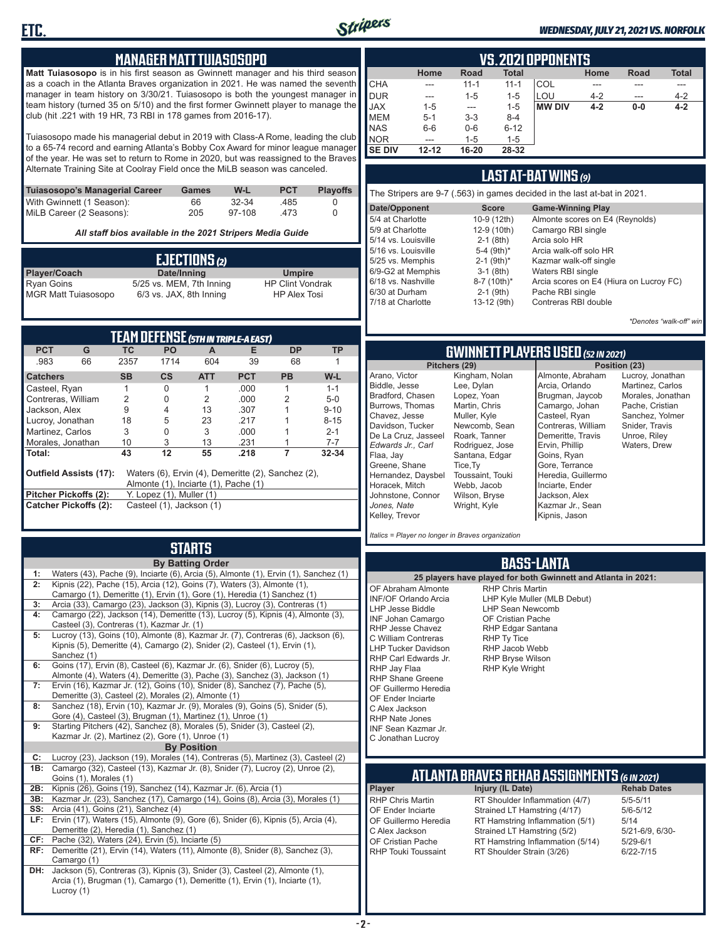

#### *WEDNESDAY, JULY 21, 2021 VS. NORFOLK*

### **MANAGER MATT TUIASOSOPO**

**Matt Tuiasosopo** is in his first season as Gwinnett manager and his third season as a coach in the Atlanta Braves organization in 2021. He was named the seventh manager in team history on 3/30/21. Tuiasosopo is both the youngest manager in team history (turned 35 on 5/10) and the first former Gwinnett player to manage the club (hit .221 with 19 HR, 73 RBI in 178 games from 2016-17).

Tuiasosopo made his managerial debut in 2019 with Class-A Rome, leading the club to a 65-74 record and earning Atlanta's Bobby Cox Award for minor league manager of the year. He was set to return to Rome in 2020, but was reassigned to the Braves Alternate Training Site at Coolray Field once the MiLB season was canceled.

| Tuiasosopo's Managerial Career | Games | W-L    | <b>PCT</b> | <b>Plavoffs</b> |
|--------------------------------|-------|--------|------------|-----------------|
| With Gwinnett (1 Season):      | 66.   | 32-34  | .485       |                 |
| MiLB Career (2 Seasons):       | 205   | 97-108 | -473       |                 |

*All staff bios available in the 2021 Stripers Media Guide*

|                            | EJECTIONS (2)            |                         |
|----------------------------|--------------------------|-------------------------|
| Player/Coach               | Date/Inning              | <b>Umpire</b>           |
| <b>Ryan Goins</b>          | 5/25 vs. MEM, 7th Inning | <b>HP Clint Vondrak</b> |
| <b>MGR Matt Tuiasosopo</b> | 6/3 vs. JAX, 8th Inning  | <b>HP Alex Tosi</b>     |

| <b>TEAM DEFENSE (5TH IN TRIPLE-A EAST)</b> |                                                                                                                             |                |                          |                |            |           |           |  |  |  |  |
|--------------------------------------------|-----------------------------------------------------------------------------------------------------------------------------|----------------|--------------------------|----------------|------------|-----------|-----------|--|--|--|--|
| <b>PCT</b>                                 | G                                                                                                                           | TC.            | PO.                      | A              | Е          | <b>DP</b> | <b>TP</b> |  |  |  |  |
| .983                                       | 66                                                                                                                          | 2357           | 1714                     | 604            | 39         | 68        |           |  |  |  |  |
| <b>Catchers</b>                            |                                                                                                                             | <b>SB</b>      | $\mathsf{cs}$            | <b>ATT</b>     | <b>PCT</b> | <b>PB</b> | $W-L$     |  |  |  |  |
| Casteel, Ryan                              |                                                                                                                             |                | 0                        |                | .000       | 1         | $1 - 1$   |  |  |  |  |
| Contreras, William                         |                                                                                                                             | $\mathfrak{p}$ | 0                        | $\mathfrak{p}$ | .000       | 2         | $5-0$     |  |  |  |  |
| Jackson, Alex                              |                                                                                                                             | 9              | 4                        | 13             | .307       |           | $9 - 10$  |  |  |  |  |
| Lucroy, Jonathan                           |                                                                                                                             | 18             | 5                        | 23             | .217       |           | $8 - 15$  |  |  |  |  |
| Martinez, Carlos                           |                                                                                                                             | 3              | 0                        | 3              | .000       |           | $2 - 1$   |  |  |  |  |
| Morales, Jonathan                          |                                                                                                                             | 10             | 3                        | 13             | .231       |           | $7 - 7$   |  |  |  |  |
| Total:                                     |                                                                                                                             | 43             | 12                       | 55             | .218       |           | 32-34     |  |  |  |  |
|                                            | <b>Outfield Assists (17):</b><br>Waters (6), Ervin (4), Demeritte (2), Sanchez (2),<br>Almonte (1), Inciarte (1), Pache (1) |                |                          |                |            |           |           |  |  |  |  |
| Pitcher Pickoffs (2):                      |                                                                                                                             |                | Y. Lopez (1), Muller (1) |                |            |           |           |  |  |  |  |
|                                            | <b>Catcher Pickoffs (2):</b><br>Casteel (1), Jackson (1)                                                                    |                |                          |                |            |           |           |  |  |  |  |

## **STARTS**

|     | <b>By Batting Order</b>                                                              |
|-----|--------------------------------------------------------------------------------------|
| 1:  | Waters (43), Pache (9), Inciarte (6), Arcia (5), Almonte (1), Ervin (1), Sanchez (1) |
| 2:  | Kipnis (22), Pache (15), Arcia (12), Goins (7), Waters (3), Almonte (1),             |
|     | Camargo (1), Demeritte (1), Ervin (1), Gore (1), Heredia (1) Sanchez (1)             |
| 3:  | Arcia (33), Camargo (23), Jackson (3), Kipnis (3), Lucroy (3), Contreras (1)         |
| 4:  | Camargo (22), Jackson (14), Demeritte (13), Lucroy (5), Kipnis (4), Almonte (3),     |
|     | Casteel (3), Contreras (1), Kazmar Jr. (1)                                           |
| 5:  | Lucroy (13), Goins (10), Almonte (8), Kazmar Jr. (7), Contreras (6), Jackson (6),    |
|     | Kipnis (5), Demeritte (4), Camargo (2), Snider (2), Casteel (1), Ervin (1),          |
|     | Sanchez (1)                                                                          |
| 6:  | Goins (17), Ervin (8), Casteel (6), Kazmar Jr. (6), Snider (6), Lucroy (5),          |
|     | Almonte (4), Waters (4), Demeritte (3), Pache (3), Sanchez (3), Jackson (1)          |
| 7:  | Ervin (16), Kazmar Jr. (12), Goins (10), Snider (8), Sanchez (7), Pache (5),         |
|     | Demeritte (3), Casteel (2), Morales (2), Almonte (1)                                 |
| 8:  | Sanchez (18), Ervin (10), Kazmar Jr. (9), Morales (9), Goins (5), Snider (5),        |
|     | Gore (4), Casteel (3), Brugman (1), Martinez (1), Unroe (1)                          |
| 9:  | Starting Pitchers (42), Sanchez (8), Morales (5), Snider (3), Casteel (2),           |
|     | Kazmar Jr. (2), Martinez (2), Gore (1), Unroe (1)                                    |
|     | <b>By Position</b>                                                                   |
| C:  | Lucroy (23), Jackson (19), Morales (14), Contreras (5), Martinez (3), Casteel (2)    |
| 1B: | Camargo (32), Casteel (13), Kazmar Jr. (8), Snider (7), Lucroy (2), Unroe (2),       |
|     | Goins (1), Morales (1)                                                               |
| 2B: | Kipnis (26), Goins (19), Sanchez (14), Kazmar Jr. (6), Arcia (1)                     |
| 3B: | Kazmar Jr. (23), Sanchez (17), Camargo (14), Goins (8), Arcia (3), Morales (1)       |
| SS: | Arcia (41), Goins (21), Sanchez (4)                                                  |
| LF: | Ervin (17), Waters (15), Almonte (9), Gore (6), Snider (6), Kipnis (5), Arcia (4),   |
|     | Demeritte (2), Heredia (1), Sanchez (1)                                              |
| CF: | Pache (32), Waters (24), Ervin (5), Inciarte (5)                                     |
| RF: | Demeritte (21), Ervin (14), Waters (11), Almonte (8), Snider (8), Sanchez (3),       |
|     | Camargo (1)                                                                          |
| DH: | Jackson (5), Contreras (3), Kipnis (3), Snider (3), Casteel (2), Almonte (1),        |
|     | Arcia (1), Brugman (1), Camargo (1), Demeritte (1), Ervin (1), Inciarte (1),         |
|     | Lucroy (1)                                                                           |

|               | <b>VS. 2021 OPPONENTS</b>                                           |          |          |               |         |       |         |  |  |  |  |  |  |
|---------------|---------------------------------------------------------------------|----------|----------|---------------|---------|-------|---------|--|--|--|--|--|--|
|               | <b>Total</b><br><b>Total</b><br>Home<br>Road<br>Home<br><b>Road</b> |          |          |               |         |       |         |  |  |  |  |  |  |
| <b>CHA</b>    |                                                                     | $11 - 1$ | $11 - 1$ | COL           |         |       |         |  |  |  |  |  |  |
| DUR           |                                                                     | $1 - 5$  | $1 - 5$  | LOU           | $4 - 2$ | ---   | $4 - 2$ |  |  |  |  |  |  |
| <b>JAX</b>    | $1 - 5$                                                             | ---      | $1 - 5$  | <b>MW DIV</b> | $4 - 2$ | $0-0$ | $4 - 2$ |  |  |  |  |  |  |
| <b>MEM</b>    | $5 - 1$                                                             | $3 - 3$  | $8 - 4$  |               |         |       |         |  |  |  |  |  |  |
| <b>NAS</b>    | $6-6$                                                               | $0-6$    | $6 - 12$ |               |         |       |         |  |  |  |  |  |  |
| <b>NOR</b>    | ---                                                                 | $1 - 5$  | $1 - 5$  |               |         |       |         |  |  |  |  |  |  |
| <b>SE DIV</b> | $12 - 12$                                                           | 16-20    | 28-32    |               |         |       |         |  |  |  |  |  |  |

### **LAST AT-BAT WINS** *(9)*

| The Stripers are 9-7 (.563) in games decided in the last at-bat in 2021. |                          |                                         |  |  |  |  |  |  |  |  |
|--------------------------------------------------------------------------|--------------------------|-----------------------------------------|--|--|--|--|--|--|--|--|
| Date/Opponent                                                            | <b>Score</b>             | <b>Game-Winning Play</b>                |  |  |  |  |  |  |  |  |
| 5/4 at Charlotte                                                         | 10-9 (12th)              | Almonte scores on E4 (Reynolds)         |  |  |  |  |  |  |  |  |
| 5/9 at Charlotte                                                         | 12-9 (10th)              | Camargo RBI single                      |  |  |  |  |  |  |  |  |
| 5/14 vs. Louisville                                                      | $2-1$ (8th)              | Arcia solo HR                           |  |  |  |  |  |  |  |  |
| 5/16 vs. Louisville                                                      | 5-4 (9th)*               | Arcia walk-off solo HR                  |  |  |  |  |  |  |  |  |
| 5/25 vs. Memphis                                                         | $2-1$ (9th) <sup>*</sup> | Kazmar walk-off single                  |  |  |  |  |  |  |  |  |
| 6/9-G2 at Memphis                                                        | $3-1$ (8th)              | Waters RBI single                       |  |  |  |  |  |  |  |  |
| 6/18 vs. Nashville                                                       | 8-7 (10th)*              | Arcia scores on E4 (Hiura on Lucroy FC) |  |  |  |  |  |  |  |  |
| 6/30 at Durham                                                           | $2-1$ (9th)              | Pache RBI single                        |  |  |  |  |  |  |  |  |
| 7/18 at Charlotte                                                        | 13-12 (9th)              | Contreras RBI double                    |  |  |  |  |  |  |  |  |
|                                                                          |                          |                                         |  |  |  |  |  |  |  |  |

*\*Denotes "walk-off" win*

### **GWINNETT PLAYERS USED** *(52 IN 2021)*

|                     | Pitchers (29)    |
|---------------------|------------------|
| Arano, Victor       | Kingham, Nolan   |
| Biddle, Jesse       | Lee, Dylan       |
| Bradford, Chasen    | Lopez, Yoan      |
| Burrows, Thomas     | Martin, Chris    |
| Chavez, Jesse       | Muller, Kyle     |
| Davidson, Tucker    | Newcomb, Sean    |
| De La Cruz, Jasseel | Roark, Tanner    |
| Edwards Jr., Carl   | Rodriguez, Jose  |
| Flaa, Jay           | Santana, Edgar   |
| Greene, Shane       | Tice, Ty         |
| Hernandez, Daysbel  | Toussaint, Touki |
| Horacek, Mitch      | Webb, Jacob      |
| Johnstone, Connor   | Wilson, Bryse    |
| Jones, Nate         | Wright, Kyle     |
| Kelley, Trevor      |                  |

Almonte, Abraham Arcia, Orlando Brugman, Jaycob Camargo, Johan Casteel, Ryan Contreras, William Demeritte, Travis Ervin, Phillip Goins, Ryan Gore, Terrance Heredia, Guillermo Inciarte, Ender Jackson, Alex Kazmar Jr., Sean Kipnis, Jason

**Position (23)** Lucroy, Jonathan Martinez, Carlos Morales, Jonathan Pache, Cristian Sanchez, Yolmer Snider, Travis Unroe, Riley Waters, Drew

*Italics = Player no longer in Braves organization*

### **BASS-LANTA**

|                                                                                                                                                                                                                                                                                                                                                                                   | 25 players have played for both Gwinnett and Atlanta in 2021:                                                                                                                                                     |                    |
|-----------------------------------------------------------------------------------------------------------------------------------------------------------------------------------------------------------------------------------------------------------------------------------------------------------------------------------------------------------------------------------|-------------------------------------------------------------------------------------------------------------------------------------------------------------------------------------------------------------------|--------------------|
| OF Abraham Almonte<br>INF/OF Orlando Arcia<br>LHP Jesse Biddle<br><b>INF Johan Camargo</b><br>RHP Jesse Chavez<br>C William Contreras<br><b>LHP Tucker Davidson</b><br>RHP Carl Edwards Jr.<br>RHP Jay Flaa<br><b>RHP Shane Greene</b><br>OF Guillermo Heredia<br>OF Ender Inciarte<br>C Alex Jackson<br><b>RHP Nate Jones</b><br><b>INF Sean Kazmar Jr.</b><br>C Jonathan Lucroy | <b>RHP Chris Martin</b><br>LHP Kyle Muller (MLB Debut)<br><b>LHP Sean Newcomb</b><br>OF Cristian Pache<br>RHP Edgar Santana<br>RHP Ty Tice<br>RHP Jacob Webb<br><b>RHP Bryse Wilson</b><br><b>RHP Kyle Wright</b> |                    |
|                                                                                                                                                                                                                                                                                                                                                                                   | ATLANTA BRAVES REHAB ASSIGNMENTS (6 IN 2021)                                                                                                                                                                      |                    |
| Player                                                                                                                                                                                                                                                                                                                                                                            | Injury (IL Date)                                                                                                                                                                                                  | <b>Rehab Dates</b> |
| <b>RHP Chris Martin</b>                                                                                                                                                                                                                                                                                                                                                           | RT Shoulder Inflammation (4/7)                                                                                                                                                                                    | $5/5 - 5/11$       |
| OF Ender Inciarte                                                                                                                                                                                                                                                                                                                                                                 | Strained LT Hamstring (4/17)                                                                                                                                                                                      | $5/6 - 5/12$       |
| OF Guillermo Heredia                                                                                                                                                                                                                                                                                                                                                              | RT Hamstring Inflammation (5/1)                                                                                                                                                                                   | 5/14               |

C Alex Jackson Strained LT Hamstring (5/2) 5/21-6/9, 6/30-<br>OF Cristian Pache RT Hamstring Inflammation (5/14) 5/29-6/1 OF Cristian Pache RT Hamstring Inflammation (5/14)<br>RHP Touki Toussaint RT Shoulder Strain (3/26) RT Shoulder Strain (3/26) 6/22-7/15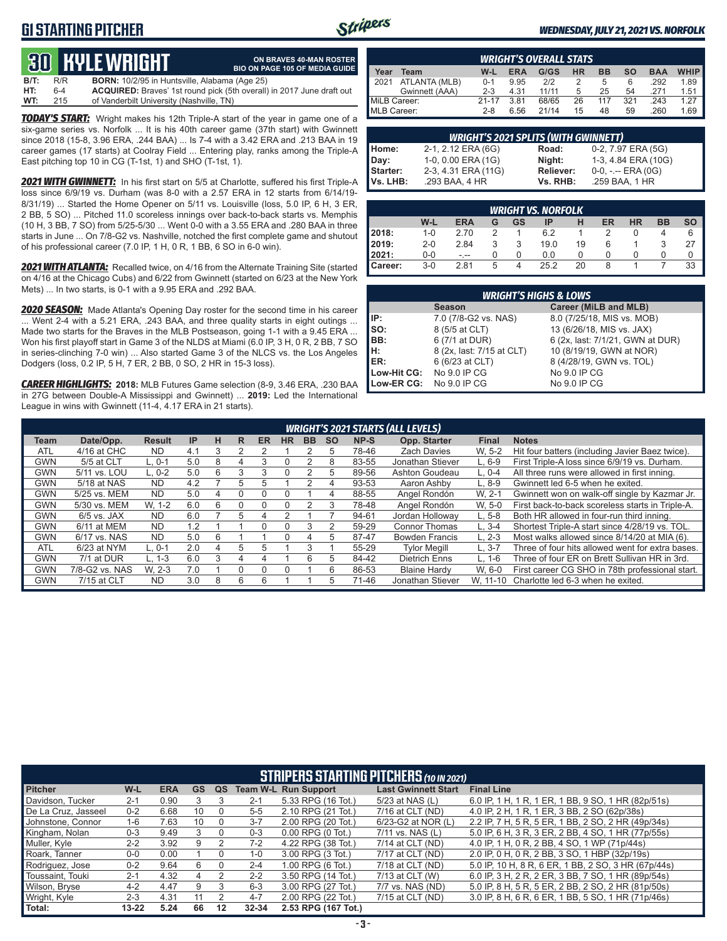## **G1 STARTING PITCHER**



**ON BRAVES 40-MAN ROSTER**

#### *WEDNESDAY, JULY 21, 2021 VS. NORFOLK*

## **30****KYLE WRIGHT**

|      |     | <u>tus bible white in</u>                            | <b>BIO ON PAGE 105 OF MEDIA GUIDE</b>                                        |
|------|-----|------------------------------------------------------|------------------------------------------------------------------------------|
| B/T: | R/R | <b>BORN:</b> 10/2/95 in Huntsville, Alabama (Age 25) |                                                                              |
| HT:  | 6-4 |                                                      | <b>ACQUIRED:</b> Braves' 1st round pick (5th overall) in 2017 June draft out |
| WT:  | 215 | of Vanderbilt University (Nashville, TN)             |                                                                              |

*TODAY'S START:* Wright makes his 12th Triple-A start of the year in game one of a six-game series vs. Norfolk ... It is his 40th career game (37th start) with Gwinnett since 2018 (15-8, 3.96 ERA, .244 BAA) ... Is 7-4 with a 3.42 ERA and .213 BAA in 19 career games (17 starts) at Coolray Field ... Entering play, ranks among the Triple-A East pitching top 10 in CG (T-1st, 1) and SHO (T-1st, 1).

*2021 WITH GWINNETT:* In his first start on 5/5 at Charlotte, suffered his first Triple-A loss since 6/9/19 vs. Durham (was 8-0 with a 2.57 ERA in 12 starts from 6/14/19- 8/31/19) ... Started the Home Opener on 5/11 vs. Louisville (loss, 5.0 IP, 6 H, 3 ER, 2 BB, 5 SO) ... Pitched 11.0 scoreless innings over back-to-back starts vs. Memphis (10 H, 3 BB, 7 SO) from 5/25-5/30 ... Went 0-0 with a 3.55 ERA and .280 BAA in three starts in June ... On 7/8-G2 vs. Nashville, notched the first complete game and shutout of his professional career (7.0 IP, 1 H, 0 R, 1 BB, 6 SO in 6-0 win).

*2021 WITH ATLANTA:* Recalled twice, on 4/16 from the Alternate Training Site (started on 4/16 at the Chicago Cubs) and 6/22 from Gwinnett (started on 6/23 at the New York Mets) ... In two starts, is 0-1 with a 9.95 ERA and .292 BAA.

*2020 SEASON:* Made Atlanta's Opening Day roster for the second time in his career ... Went 2-4 with a 5.21 ERA, .243 BAA, and three quality starts in eight outings ... Made two starts for the Braves in the MLB Postseason, going 1-1 with a 9.45 ERA ... Won his first playoff start in Game 3 of the NLDS at Miami (6.0 IP, 3 H, 0 R, 2 BB, 7 SO in series-clinching 7-0 win) ... Also started Game 3 of the NLCS vs. the Los Angeles Dodgers (loss, 0.2 IP, 5 H, 7 ER, 2 BB, 0 SO, 2 HR in 15-3 loss).

*CAREER HIGHLIGHTS:* **2018:** MLB Futures Game selection (8-9, 3.46 ERA, .230 BAA in 27G between Double-A Mississippi and Gwinnett) ... **2019:** Led the International League in wins with Gwinnett (11-4, 4.17 ERA in 21 starts).

|              | <b>WRIGHT'S OVERALL STATS.</b> |           |            |       |           |           |           |            |             |  |  |  |  |
|--------------|--------------------------------|-----------|------------|-------|-----------|-----------|-----------|------------|-------------|--|--|--|--|
| Year         | Team                           | W-L       | <b>ERA</b> | G/GS  | <b>HR</b> | <b>BB</b> | <b>SO</b> | <b>BAA</b> | <b>WHIP</b> |  |  |  |  |
| 12021        | ATLANTA (MLB)                  | $0 - 1$   | 9.95       | 212   |           | 5         | 6         | .292       | 1.89        |  |  |  |  |
|              | Gwinnett (AAA)                 | $2 - 3$   | 4.31       | 11/11 | 5         | 25        | 54        | 271        | 1.51        |  |  |  |  |
| MiLB Career: |                                | $21 - 17$ | 3.81       | 68/65 | 26        | 117       | 321       | 243        | 1.27        |  |  |  |  |
| MLB Career:  |                                | $2 - 8$   | 6.56       | 21/14 | 15        | 48        | 59        | .260       | 1.69        |  |  |  |  |

| <b>WRIGHT'S 2021 SPLITS (WITH GWINNETT)</b> |                     |           |                       |  |  |  |  |  |  |  |  |  |
|---------------------------------------------|---------------------|-----------|-----------------------|--|--|--|--|--|--|--|--|--|
| Home:                                       | 2-1, 2.12 ERA (6G)  | Road:     | 0-2, 7.97 ERA (5G)    |  |  |  |  |  |  |  |  |  |
| Day:                                        | 1-0, 0.00 ERA (1G)  | Night:    | 1-3, 4.84 ERA (10G)   |  |  |  |  |  |  |  |  |  |
| Starter:                                    | 2-3, 4.31 ERA (11G) | Reliever: | $0-0, - -$ ERA $(0G)$ |  |  |  |  |  |  |  |  |  |
| Vs. LHB:                                    | .293 BAA, 4 HR      | Vs. RHB:  | .259 BAA, 1 HR        |  |  |  |  |  |  |  |  |  |

|         | <b>WRIGHT VS. NORFOLK</b>                                                            |      |               |   |      |    |               |  |  |    |  |  |  |
|---------|--------------------------------------------------------------------------------------|------|---------------|---|------|----|---------------|--|--|----|--|--|--|
|         | W-L<br>ER<br><b>BB</b><br><b>SO</b><br><b>HR</b><br><b>ERA</b><br>GS<br>IP<br>н<br>G |      |               |   |      |    |               |  |  |    |  |  |  |
| 2018:   | $1 - 0$                                                                              | 2.70 | $\mathcal{D}$ |   | 6.2  |    | $\mathcal{P}$ |  |  | 6  |  |  |  |
| 2019:   | $2 - 0$                                                                              | 2.84 | 3             |   | 19.0 | 19 | 6             |  |  | 27 |  |  |  |
| 2021:   | $0-0$                                                                                | - -- |               | 0 | 0.0  | 0  |               |  |  |    |  |  |  |
| Career: | $3-0$                                                                                | 2.81 | 5             | 4 | 25.2 | 20 | 8             |  |  | 33 |  |  |  |

|                                        | <b>WRIGHT'S HIGHS &amp; LOWS</b> |                                  |  |  |  |  |  |  |  |  |  |  |
|----------------------------------------|----------------------------------|----------------------------------|--|--|--|--|--|--|--|--|--|--|
| Career (MiLB and MLB)<br><b>Season</b> |                                  |                                  |  |  |  |  |  |  |  |  |  |  |
| IP:                                    | 7.0 (7/8-G2 vs. NAS)             | 8.0 (7/25/18, MIS vs. MOB)       |  |  |  |  |  |  |  |  |  |  |
| so:                                    | 8 (5/5 at CLT)                   | 13 (6/26/18, MIS vs. JAX)        |  |  |  |  |  |  |  |  |  |  |
| BB:                                    | 6 (7/1 at DUR)                   | 6 (2x, last: 7/1/21, GWN at DUR) |  |  |  |  |  |  |  |  |  |  |
| H:                                     | 8 (2x, last: 7/15 at CLT)        | 10 (8/19/19, GWN at NOR)         |  |  |  |  |  |  |  |  |  |  |
| <b>IER:</b>                            | 6 (6/23 at CLT)                  | 8 (4/28/19, GWN vs. TOL)         |  |  |  |  |  |  |  |  |  |  |
| Low-Hit CG:                            | No 9.0 IP CG                     | No 9.0 IP CG                     |  |  |  |  |  |  |  |  |  |  |
| Low-ER CG:                             | No 9.0 IP CG                     | No 9.0 IP CG                     |  |  |  |  |  |  |  |  |  |  |

|            | <b>WRIGHT'S 2021 STARTS (ALL LEVELS)</b> |               |     |   |   |           |           |           |           |       |                       |              |                                                  |  |
|------------|------------------------------------------|---------------|-----|---|---|-----------|-----------|-----------|-----------|-------|-----------------------|--------------|--------------------------------------------------|--|
| Team       | Date/Opp.                                | <b>Result</b> | IP  | н | R | <b>ER</b> | <b>HR</b> | <b>BB</b> | <b>SO</b> | NP-S  | Opp. Starter          | <b>Final</b> | <b>Notes</b>                                     |  |
| <b>ATL</b> | 4/16 at CHC                              | <b>ND</b>     | 4.1 | 3 |   |           |           |           | 5         | 78-46 | <b>Zach Davies</b>    | W. 5-2       | Hit four batters (including Javier Baez twice).  |  |
| <b>GWN</b> | 5/5 at CLT                               | $L.0-1$       | 5.0 | 8 | 4 | 3         |           |           | 8         | 83-55 | Jonathan Stiever      | $L.6-9$      | First Triple-A loss since 6/9/19 vs. Durham.     |  |
| <b>GWN</b> | 5/11 vs. LOU                             | $L.0-2$       | 5.0 | 6 | 3 | 3         |           |           | 5         | 89-56 | Ashton Goudeau        | $L. 0-4$     | All three runs were allowed in first inning.     |  |
| <b>GWN</b> | 5/18 at NAS                              | <b>ND</b>     | 4.2 |   | 5 | :5        |           |           | 4         | 93-53 | Aaron Ashby           | $L.8-9$      | Gwinnett led 6-5 when he exited.                 |  |
| <b>GWN</b> | 5/25 vs. MEM                             | <b>ND</b>     | 5.0 | 4 |   |           |           |           | 4         | 88-55 | Angel Rondón          | W. 2-1       | Gwinnett won on walk-off single by Kazmar Jr.    |  |
| <b>GWN</b> | 5/30 vs. MEM                             | W. 1-2        | 6.0 | 6 |   | C         |           |           | 3         | 78-48 | Angel Rondón          | W. 5-0       | First back-to-back scoreless starts in Triple-A. |  |
| <b>GWN</b> | $6/5$ vs. JAX                            | <b>ND</b>     | 6.0 |   | 5 | 4         |           |           |           | 94-61 | Jordan Hollowav       | $L.5-8$      | Both HR allowed in four-run third inning.        |  |
| <b>GWN</b> | 6/11 at MEM                              | <b>ND</b>     | 1.2 |   |   | C         |           | 3         |           | 59-29 | <b>Connor Thomas</b>  | $L.3 - 4$    | Shortest Triple-A start since 4/28/19 vs. TOL.   |  |
| <b>GWN</b> | 6/17 vs. NAS                             | ND            | 5.0 | 6 |   |           |           | 4         | 5         | 87-47 | <b>Bowden Francis</b> | $L. 2-3$     | Most walks allowed since 8/14/20 at MIA (6).     |  |
| <b>ATL</b> | 6/23 at NYM                              | L. 0-1        | 2.0 | 4 | 5 | :5        |           |           |           | 55-29 | <b>Tylor Meaill</b>   | $L.3 - 7$    | Three of four hits allowed went for extra bases. |  |
| <b>GWN</b> | 7/1 at DUR                               | $L. 1-3$      | 6.0 | 3 | 4 | 4         |           | 6         | 5         | 84-42 | Dietrich Enns         | $L. 1-6$     | Three of four ER on Brett Sullivan HR in 3rd.    |  |
| <b>GWN</b> | 7/8-G2 vs. NAS                           | W. 2-3        | 7.0 |   |   |           |           |           | 6         | 86-53 | <b>Blaine Hardy</b>   | W. 6-0       | First career CG SHO in 78th professional start.  |  |
| <b>GWN</b> | 7/15 at CLT                              | <b>ND</b>     | 3.0 | 8 | 6 | 6         |           |           | 5         | 71-46 | Jonathan Stiever      | W. 11-10     | Charlotte led 6-3 when he exited.                |  |

|                     | <b>STRIPERS STARTING PITCHERS</b> (10 IN 2021) |            |    |    |           |                             |                            |                                                       |  |  |  |  |
|---------------------|------------------------------------------------|------------|----|----|-----------|-----------------------------|----------------------------|-------------------------------------------------------|--|--|--|--|
| <b>Pitcher</b>      | W-L                                            | <b>ERA</b> | GS | QS |           | <b>Team W-L Run Support</b> | <b>Last Gwinnett Start</b> | <b>Final Line</b>                                     |  |  |  |  |
| Davidson, Tucker    | $2 - 1$                                        | 0.90       | 3  | 3  | $2 - 1$   | 5.33 RPG (16 Tot.)          | 5/23 at NAS (L)            | 6.0 IP, 1 H, 1 R, 1 ER, 1 BB, 9 SO, 1 HR (82p/51s)    |  |  |  |  |
| De La Cruz. Jasseel | $0 - 2$                                        | 6.68       | 10 |    | $5 - 5$   | 2.10 RPG (21 Tot.)          | 7/16 at CLT (ND)           | 4.0 IP, 2 H, 1 R, 1 ER, 3 BB, 2 SO (62p/38s)          |  |  |  |  |
| Johnstone, Connor   | $1-6$                                          | 7.63       | 10 |    | $3 - 7$   | 2.00 RPG (20 Tot.)          | 6/23-G2 at NOR (L)         | 2.2 IP, 7 H, 5 R, 5 ER, 1 BB, 2 SO, 2 HR (49p/34s)    |  |  |  |  |
| Kingham, Nolan      | $0 - 3$                                        | 9.49       | 3  | 0  | $0 - 3$   | $0.00$ RPG $(0$ Tot.)       | 7/11 vs. NAS (L)           | 5.0 IP, 6 H, 3 R, 3 ER, 2 BB, 4 SO, 1 HR (77 p/ 55 s) |  |  |  |  |
| Muller, Kyle        | $2 - 2$                                        | 3.92       | 9  | 2  | $7-2$     | 4.22 RPG (38 Tot.)          | 7/14 at CLT (ND)           | 4.0 IP, 1 H, 0 R, 2 BB, 4 SO, 1 WP (71p/44s)          |  |  |  |  |
| Roark, Tanner       | $0-0$                                          | 0.00       |    |    | $1 - 0$   | 3.00 RPG (3 Tot.)           | 7/17 at CLT (ND)           | 2.0 IP, 0 H, 0 R, 2 BB, 3 SO, 1 HBP (32p/19s)         |  |  |  |  |
| Rodriguez, Jose     | $0 - 2$                                        | 9.64       | 6  |    | $2 - 4$   | 1.00 RPG (6 Tot.)           | $7/18$ at CLT (ND)         | 5.0 IP, 10 H, 8 R, 6 ER, 1 BB, 2 SO, 3 HR (67p/44s)   |  |  |  |  |
| Toussaint. Touki    | $2 - 1$                                        | 4.32       | 4  |    | $2 - 2$   | 3.50 RPG (14 Tot.)          | 7/13 at CLT (W)            | 6.0 IP, 3 H, 2 R, 2 ER, 3 BB, 7 SO, 1 HR (89p/54s)    |  |  |  |  |
| Wilson, Bryse       | $4 - 2$                                        | 4.47       | 9  | 3  | $6 - 3$   | 3.00 RPG (27 Tot.)          | 7/7 vs. NAS (ND)           | 5.0 IP, 8 H, 5 R, 5 ER, 2 BB, 2 SO, 2 HR (81p/50s)    |  |  |  |  |
| Wright, Kyle        | $2 - 3$                                        | 4.31       | 11 | 2  | $4 - 7$   | 2.00 RPG (22 Tot.)          | 7/15 at CLT (ND)           | 3.0 IP, 8 H, 6 R, 6 ER, 1 BB, 5 SO, 1 HR (71p/46s)    |  |  |  |  |
| Total:              | $13 - 22$                                      | 5.24       | 66 | 12 | $32 - 34$ | 2.53 RPG (167 Tot.)         |                            |                                                       |  |  |  |  |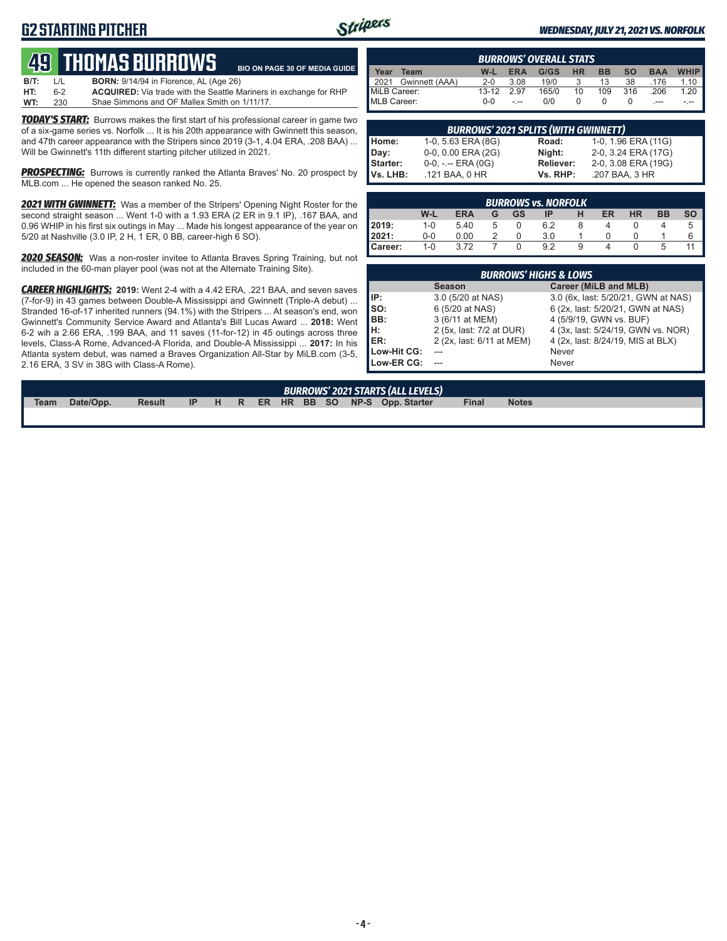## **G2 STARTING PITCHER**



**BIO ON PAGE 30 OF MEDIA GUIDE**

#### *WEDNESDAY, JULY 21, 2021 VS. NORFOLK*

# **49****THOMAS BURROWS**

| B/T: | L/L | <b>BORN:</b> 9/14/94 in Florence, AL (Age 26)                            |
|------|-----|--------------------------------------------------------------------------|
| HT:  | հ-2 | <b>ACQUIRED:</b> Via trade with the Seattle Mariners in exchange for RHP |
| WT:  | 230 | Shae Simmons and OF Mallex Smith on 1/11/17.                             |

*TODAY'S START:* Burrows makes the first start of his professional career in game two of a six-game series vs. Norfolk ... It is his 20th appearance with Gwinnett this season, and 47th career appearance with the Stripers since 2019 (3-1, 4.04 ERA, .208 BAA) ... Will be Gwinnett's 11th different starting pitcher utilized in 2021.

**PROSPECTING:** Burrows is currently ranked the Atlanta Braves' No. 20 prospect by MLB.com ... He opened the season ranked No. 25.

**2021 WITH GWINNETT:** Was a member of the Stripers' Opening Night Roster for the second straight season ... Went 1-0 with a 1.93 ERA (2 ER in 9.1 IP), .167 BAA, and 0.96 WHIP in his first six outings in May ... Made his longest appearance of the year on 5/20 at Nashville (3.0 IP, 2 H, 1 ER, 0 BB, career-high 6 SO).

*2020 SEASON:* Was a non-roster invitee to Atlanta Braves Spring Training, but not included in the 60-man player pool (was not at the Alternate Training Site).

*CAREER HIGHLIGHTS:* **2019:** Went 2-4 with a 4.42 ERA, .221 BAA, and seven saves (7-for-9) in 43 games between Double-A Mississippi and Gwinnett (Triple-A debut) ... Stranded 16-of-17 inherited runners (94.1%) with the Stripers ... At season's end, won Gwinnett's Community Service Award and Atlanta's Bill Lucas Award ... **2018:** Went 6-2 wih a 2.66 ERA, .199 BAA, and 11 saves (11-for-12) in 45 outings across three levels, Class-A Rome, Advanced-A Florida, and Double-A Mississippi ... **2017:** In his Atlanta system debut, was named a Braves Organization All-Star by MiLB.com (3-5, 2.16 ERA, 3 SV in 38G with Class-A Rome).

| <b>BURROWS' OVERALL STATS</b> |           |            |       |           |           |           |            |             |  |  |  |  |
|-------------------------------|-----------|------------|-------|-----------|-----------|-----------|------------|-------------|--|--|--|--|
| Year<br>Team                  | W-L       | <b>ERA</b> | G/GS  | <b>HR</b> | <b>BB</b> | <b>SO</b> | <b>BAA</b> | <b>WHIP</b> |  |  |  |  |
| Gwinnett (AAA)<br>2021        | $2 - 0$   | 3.08       | 19/0  |           | 13        | 38        | .176       | 1.10        |  |  |  |  |
| MiLB Career:                  | $13 - 12$ | 297        | 165/0 | 10        | 109       | 316       | .206       | 1.20        |  |  |  |  |
| MLB Career:                   | ი-ი       | $-1$       | 0/0   |           |           |           |            |             |  |  |  |  |

|                  | <b>BURROWS' 2021 SPLITS (WITH GWINNETT)</b> |           |                     |
|------------------|---------------------------------------------|-----------|---------------------|
| Home:            | 1-0, 5.63 ERA (8G)                          | Road:     | 1-0, 1.96 ERA (11G) |
|                  | 0-0, 0.00 ERA (2G)                          | Night:    | 2-0, 3.24 ERA (17G) |
| Day:<br>Starter: | $0-0, - -$ ERA $(0G)$                       | Reliever: | 2-0, 3.08 ERA (19G) |
| Vs. LHB:         | .121 BAA, 0 HR                              | Vs. RHP:  | .207 BAA, 3 HR      |

|         | <b>BURROWS vs. NORFOLK</b> |            |   |    |     |   |    |           |           |              |  |  |
|---------|----------------------------|------------|---|----|-----|---|----|-----------|-----------|--------------|--|--|
|         | W-L                        | <b>ERA</b> | G | GS | IP  |   | ER | <b>HR</b> | <b>BB</b> | <b>SO</b>    |  |  |
| 2019:   | $1 - 0$                    | 5.40       | 5 | 0  | 6.2 | 8 |    |           |           | <sub>5</sub> |  |  |
| 2021:   | $0 - 0$                    | 0.00       |   |    | 3.0 |   |    |           |           | 6            |  |  |
| Career: | $1-0$                      | 3.72       |   |    | 9.2 | 9 |    |           | 5         |              |  |  |

|             | <b>BURROWS' HIGHS &amp; LOWS</b> |                                     |  |  |  |  |  |  |  |  |  |
|-------------|----------------------------------|-------------------------------------|--|--|--|--|--|--|--|--|--|
|             | <b>Season</b>                    | Career (MiLB and MLB)               |  |  |  |  |  |  |  |  |  |
| IP:         | 3.0 (5/20 at NAS)                | 3.0 (6x, last: 5/20/21, GWN at NAS) |  |  |  |  |  |  |  |  |  |
| so:         | 6 (5/20 at NAS)                  | 6 (2x, last: 5/20/21, GWN at NAS)   |  |  |  |  |  |  |  |  |  |
| BB:         | 3 (6/11 at MEM)                  | 4 (5/9/19, GWN vs. BUF)             |  |  |  |  |  |  |  |  |  |
| Iн:         | 2 (5x, last: 7/2 at DUR)         | 4 (3x, last: 5/24/19, GWN vs. NOR)  |  |  |  |  |  |  |  |  |  |
| ER:         | 2 (2x, last: 6/11 at MEM)        | 4 (2x, last: 8/24/19, MIS at BLX)   |  |  |  |  |  |  |  |  |  |
| Low-Hit CG: |                                  | Never                               |  |  |  |  |  |  |  |  |  |
| Low-ER CG:  |                                  | Never                               |  |  |  |  |  |  |  |  |  |

|             |           |               |  |  |  |  | <b>BURROWS' 2021 STARTS (ALL LEVELS)</b> |              |              |
|-------------|-----------|---------------|--|--|--|--|------------------------------------------|--------------|--------------|
| <b>Team</b> | Date/Opp. | <b>Result</b> |  |  |  |  | IP H R ER HR BB SO NP-S Opp. Starter     | <b>Final</b> | <b>Notes</b> |
|             |           |               |  |  |  |  |                                          |              |              |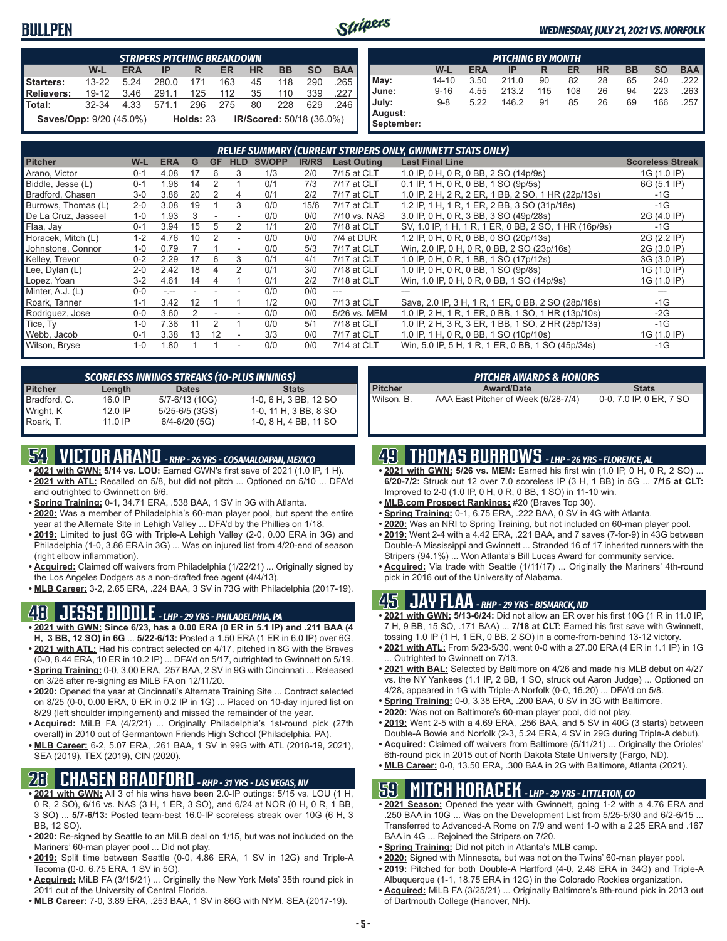### **BULLPEN**



**September:**

#### *WEDNESDAY, JULY 21, 2021 VS. NORFOLK*

|                                | <b>STRIPERS PITCHING BREAKDOWN</b> |            |       |             |     |           |                                 |           |            |  |  |  |
|--------------------------------|------------------------------------|------------|-------|-------------|-----|-----------|---------------------------------|-----------|------------|--|--|--|
|                                | W-L                                | <b>ERA</b> | IP    | R           | ER  | <b>HR</b> | <b>BB</b>                       | <b>SO</b> | <b>BAA</b> |  |  |  |
| Starters:                      | $13 - 22$                          | 5 24       | 280.0 | 171         | 163 | 45        | 118                             | 290       | .265       |  |  |  |
| Relievers:                     | $19 - 12$                          | 3.46       | 291.1 | 125         | 112 | 35        | 110                             | 339       | .227       |  |  |  |
| l Total:                       | 32-34                              | 4.33       | 571.1 | 296         | 275 | 80        | 228                             | 629       | 246        |  |  |  |
| <b>Saves/Opp:</b> 9/20 (45.0%) |                                    |            |       | Holds: $23$ |     |           | <b>IR/Scored: 50/18 (36.0%)</b> |           |            |  |  |  |

|            | <b>PITCHING BY MONTH</b>                                                                |      |       |     |     |    |    |     |        |  |  |  |  |
|------------|-----------------------------------------------------------------------------------------|------|-------|-----|-----|----|----|-----|--------|--|--|--|--|
|            | <b>BAA</b><br><b>SO</b><br><b>HR</b><br>W-L<br><b>BB</b><br><b>ERA</b><br>ER<br>IP<br>R |      |       |     |     |    |    |     |        |  |  |  |  |
|            |                                                                                         |      |       |     |     |    |    |     |        |  |  |  |  |
| May:       | $14 - 10$                                                                               | 3.50 | 211.0 | 90  | 82  | 28 | 65 | 240 | .222 I |  |  |  |  |
| June:      | $9 - 16$                                                                                | 4.55 | 213.2 | 115 | 108 | 26 | 94 | 223 | .263   |  |  |  |  |
| July:      | $9 - 8$                                                                                 | 5.22 | 146.2 | 91  | 85  | 26 | 69 | 166 | .257   |  |  |  |  |
| August:    |                                                                                         |      |       |     |     |    |    |     |        |  |  |  |  |
| September: |                                                                                         |      |       |     |     |    |    |     |        |  |  |  |  |

|                     |         |            |    |           |            |               |              |                    | RELIEF SUMMARY (CURRENT STRIPERS ONLY, GWINNETT STATS ONLY) |                         |
|---------------------|---------|------------|----|-----------|------------|---------------|--------------|--------------------|-------------------------------------------------------------|-------------------------|
| <b>Pitcher</b>      | W-L     | <b>ERA</b> | G  | <b>GF</b> | <b>HLD</b> | <b>SV/OPP</b> | <b>IR/RS</b> | <b>Last Outing</b> | <b>Last Final Line</b>                                      | <b>Scoreless Streak</b> |
| Arano, Victor       | $0 - 1$ | 4.08       | 17 | 6         |            | 1/3           | 2/0          | 7/15 at CLT        | 1.0 IP, 0 H, 0 R, 0 BB, 2 SO (14p/9s)                       | 1G (1.0 IP)             |
| Biddle, Jesse (L)   | $0 - 1$ | 1.98       | 14 |           |            | 0/1           | 7/3          | 7/17 at CLT        | 0.1 IP, 1 H, 0 R, 0 BB, 1 SO (9p/5s)                        | 6G (5.1 IP)             |
| Bradford, Chasen    | $3-0$   | 3.86       | 20 | 2         | 4          | 0/1           | 2/2          | 7/17 at CLT        | 1.0 IP, 2 H, 2 R, 2 ER, 1 BB, 2 SO, 1 HR (22p/13s)          | $-1G$                   |
| Burrows, Thomas (L) | $2 - 0$ | 3.08       | 19 |           | 3          | 0/0           | 15/6         | 7/17 at CLT        | 1.2 IP, 1 H, 1 R, 1 ER, 2 BB, 3 SO (31p/18s)                | $-1G$                   |
| De La Cruz, Jasseel | $1 - 0$ | 1.93       |    |           |            | 0/0           | 0/0          | 7/10 vs. NAS       | 3.0 IP, 0 H, 0 R, 3 BB, 3 SO (49p/28s)                      | 2G (4.0 IP)             |
| Flaa, Jay           | $0 - 1$ | 3.94       | 15 | 5         | 2          | 1/1           | 2/0          | 7/18 at CLT        | SV, 1.0 IP, 1 H, 1 R, 1 ER, 0 BB, 2 SO, 1 HR (16p/9s)       | $-1G$                   |
| Horacek, Mitch (L)  | $1 - 2$ | 4.76       | 10 |           |            | 0/0           | 0/0          | 7/4 at DUR         | 1.2 IP, 0 H, 0 R, 0 BB, 0 SO (20p/13s)                      | 2G (2.2 IP)             |
| Johnstone, Connor   | $1 - 0$ | 0.79       |    |           |            | 0/0           | 5/3          | 7/17 at CLT        | Win, 2.0 IP, 0 H, 0 R, 0 BB, 2 SO (23p/16s)                 | 2G (3.0 IP)             |
| Kelley, Trevor      | $0 - 2$ | 2.29       | 17 | 6         | 3          | 0/1           | 4/1          | 7/17 at CLT        | 1.0 IP, 0 H, 0 R, 1 BB, 1 SO (17p/12s)                      | 3G (3.0 IP)             |
| Lee, Dylan (L)      | $2 - 0$ | 2.42       | 18 |           | 2          | 0/1           | 3/0          | 7/18 at CLT        | 1.0 IP, 0 H, 0 R, 0 BB, 1 SO (9p/8s)                        | 1G (1.0 IP)             |
| Lopez, Yoan         | $3 - 2$ | 4.61       | 14 |           |            | 0/1           | 2/2          | 7/18 at CLT        | Win, 1.0 IP, 0 H, 0 R, 0 BB, 1 SO (14p/9s)                  | 1G (1.0 IP)             |
| Minter, A.J. (L)    | $0 - 0$ | المعرف     |    |           |            | 0/0           | 0/0          | ---                | ---                                                         |                         |
| Roark, Tanner       | $1 - 1$ | 3.42       | 12 |           |            | 1/2           | 0/0          | 7/13 at CLT        | Save, 2.0 IP, 3 H, 1 R, 1 ER, 0 BB, 2 SO (28p/18s)          | $-1G$                   |
| Rodriguez, Jose     | $0 - 0$ | 3.60       | 2  |           |            | 0/0           | 0/0          | 5/26 vs. MEM       | 1.0 IP, 2 H, 1 R, 1 ER, 0 BB, 1 SO, 1 HR (13p/10s)          | $-2G$                   |
| Tice, Ty            | $1 - 0$ | 7.36       |    | 2         |            | 0/0           | 5/1          | 7/18 at CLT        | 1.0 IP, 2 H, 3 R, 3 ER, 1 BB, 1 SO, 2 HR (25p/13s)          | $-1G$                   |
| Webb, Jacob         | $0 - 1$ | 3.38       | 13 | 12        |            | 3/3           | 0/0          | 7/17 at CLT        | 1.0 IP, 1 H, 0 R, 0 BB, 1 SO (10p/10s)                      | 1G (1.0 IP)             |
| Wilson, Bryse       | $1 - 0$ | 1.80       |    |           |            | 0/0           | 0/0          | 7/14 at CLT        | Win, 5.0 IP, 5 H, 1 R, 1 ER, 0 BB, 1 SO (45p/34s)           | $-1G$                   |

| <b>SCORELESS INNINGS STREAKS (10-PLUS INNINGS)</b> |           |                    |                       |  |  |  |  |  |  |  |  |
|----------------------------------------------------|-----------|--------------------|-----------------------|--|--|--|--|--|--|--|--|
| <b>Pitcher</b>                                     | Length    | <b>Dates</b>       | <b>Stats</b>          |  |  |  |  |  |  |  |  |
| Bradford, C.                                       | 16.0 IP   | 5/7-6/13 (10G)     | 1-0, 6 H, 3 BB, 12 SO |  |  |  |  |  |  |  |  |
| Wright, K                                          | 12.0 IP   | $5/25 - 6/5$ (3GS) | 1-0, 11 H, 3 BB, 8 SO |  |  |  |  |  |  |  |  |
| Roark, T.                                          | $11.0$ IP | $6/4 - 6/20$ (5G)  | 1-0, 8 H, 4 BB, 11 SO |  |  |  |  |  |  |  |  |

## **54 VICTOR ARANO** *- RHP - 26 YRS - COSAMALOAPAN, MEXICO*

- **• 2021 with GWN: 5/14 vs. LOU:** Earned GWN's first save of 2021 (1.0 IP, 1 H). **• 2021 with ATL:** Recalled on 5/8, but did not pitch ... Optioned on 5/10 ... DFA'd and outrighted to Gwinnett on 6/6.
- **• Spring Training:** 0-1, 34.71 ERA, .538 BAA, 1 SV in 3G with Atlanta.
- **• 2020:** Was a member of Philadelphia's 60-man player pool, but spent the entire year at the Alternate Site in Lehigh Valley ... DFA'd by the Phillies on 1/18.
- **• 2019:** Limited to just 6G with Triple-A Lehigh Valley (2-0, 0.00 ERA in 3G) and Philadelphia (1-0, 3.86 ERA in 3G) ... Was on injured list from 4/20-end of season (right elbow inflammation).
- **• Acquired:** Claimed off waivers from Philadelphia (1/22/21) ... Originally signed by the Los Angeles Dodgers as a non-drafted free agent (4/4/13).
- **• MLB Career:** 3-2, 2.65 ERA, .224 BAA, 3 SV in 73G with Philadelphia (2017-19).

### **48 JESSE BIDDLE** *- LHP - 29 YRS - PHILADELPHIA, PA*

- **• 2021 with GWN: Since 6/23, has a 0.00 ERA (0 ER in 5.1 IP) and .211 BAA (4 H, 3 BB, 12 SO) in 6G** ... **5/22-6/13:** Posted a 1.50 ERA (1 ER in 6.0 IP) over 6G.
- **• 2021 with ATL:** Had his contract selected on 4/17, pitched in 8G with the Braves (0-0, 8.44 ERA, 10 ER in 10.2 IP) ... DFA'd on 5/17, outrighted to Gwinnett on 5/19.
- **• Spring Training:** 0-0, 3.00 ERA, .257 BAA, 2 SV in 9G with Cincinnati ... Released on 3/26 after re-signing as MiLB FA on 12/11/20.
- **• 2020:** Opened the year at Cincinnati's Alternate Training Site ... Contract selected on 8/25 (0-0, 0.00 ERA, 0 ER in 0.2 IP in 1G) ... Placed on 10-day injured list on 8/29 (left shoulder impingement) and missed the remainder of the year.
- **• Acquired:** MiLB FA (4/2/21) ... Originally Philadelphia's 1st-round pick (27th overall) in 2010 out of Germantown Friends High School (Philadelphia, PA).
- **• MLB Career:** 6-2, 5.07 ERA, .261 BAA, 1 SV in 99G with ATL (2018-19, 2021), SEA (2019), TEX (2019), CIN (2020).

## **28 CHASEN BRADFORD** *- RHP - 31 YRS - LAS VEGAS, NV*

- **• 2021 with GWN:** All 3 of his wins have been 2.0-IP outings: 5/15 vs. LOU (1 H, 0 R, 2 SO), 6/16 vs. NAS (3 H, 1 ER, 3 SO), and 6/24 at NOR (0 H, 0 R, 1 BB, 3 SO) ... **5/7-6/13:** Posted team-best 16.0-IP scoreless streak over 10G (6 H, 3 BB, 12 SO).
- **• 2020:** Re-signed by Seattle to an MiLB deal on 1/15, but was not included on the Mariners' 60-man player pool ... Did not play.
- **• 2019:** Split time between Seattle (0-0, 4.86 ERA, 1 SV in 12G) and Triple-A Tacoma (0-0, 6.75 ERA, 1 SV in 5G).
- **• Acquired:** MiLB FA (3/15/21) ... Originally the New York Mets' 35th round pick in 2011 out of the University of Central Florida.
- **• MLB Career:** 7-0, 3.89 ERA, .253 BAA, 1 SV in 86G with NYM, SEA (2017-19).

#### *PITCHER AWARDS & HONORS*

**Pitcher <b>Award/Date Stats**<br>
Wilson B AAA Fast Pitcher of Week (6/28-7/4) 0-0 7 0 IP 0 F AAA East Pitcher of Week (6/28-7/4) 0-0, 7.0 IP, 0 ER, 7 SO

### **49 THOMAS BURROWS** *- LHP - 26 YRS - FLORENCE, AL*

- **• 2021 with GWN: 5/26 vs. MEM:** Earned his first win (1.0 IP, 0 H, 0 R, 2 SO) ... **6/20-7/2:** Struck out 12 over 7.0 scoreless IP (3 H, 1 BB) in 5G ... **7/15 at CLT:** Improved to 2-0 (1.0 IP, 0 H, 0 R, 0 BB, 1 SO) in 11-10 win.
- **• MLB.com Prospect Rankings:** #20 (Braves Top 30).
- **• Spring Training:** 0-1, 6.75 ERA, .222 BAA, 0 SV in 4G with Atlanta.
- **• 2020:** Was an NRI to Spring Training, but not included on 60-man player pool.
- **• 2019:** Went 2-4 with a 4.42 ERA, .221 BAA, and 7 saves (7-for-9) in 43G between Double-A Mississippi and Gwinnett ... Stranded 16 of 17 inherited runners with the Stripers (94.1%) ... Won Atlanta's Bill Lucas Award for community service.
- **• Acquired:** Via trade with Seattle (1/11/17) ... Originally the Mariners' 4th-round pick in 2016 out of the University of Alabama.

## **45 JAY FLAA** *- RHP - 29 YRS - BISMARCK, ND*

- **• 2021 with GWN: 5/13-6/24:** Did not allow an ER over his first 10G (1 R in 11.0 IP, 7 H, 9 BB, 15 SO, .171 BAA) ... **7/18 at CLT:** Earned his first save with Gwinnett, tossing 1.0 IP (1 H, 1 ER, 0 BB, 2 SO) in a come-from-behind 13-12 victory.
- **• 2021 with ATL:** From 5/23-5/30, went 0-0 with a 27.00 ERA (4 ER in 1.1 IP) in 1G Outrighted to Gwinnett on 7/13.
- **• 2021 with BAL:** Selected by Baltimore on 4/26 and made his MLB debut on 4/27 vs. the NY Yankees (1.1 IP, 2 BB, 1 SO, struck out Aaron Judge) ... Optioned on 4/28, appeared in 1G with Triple-A Norfolk (0-0, 16.20) ... DFA'd on 5/8.
- **• Spring Training:** 0-0, 3.38 ERA, .200 BAA, 0 SV in 3G with Baltimore.
- **• 2020:** Was not on Baltimore's 60-man player pool, did not play.
- **• 2019:** Went 2-5 with a 4.69 ERA, .256 BAA, and 5 SV in 40G (3 starts) between Double-A Bowie and Norfolk (2-3, 5.24 ERA, 4 SV in 29G during Triple-A debut).
- **• Acquired:** Claimed off waivers from Baltimore (5/11/21) ... Originally the Orioles' 6th-round pick in 2015 out of North Dakota State University (Fargo, ND).
- **• MLB Career:** 0-0, 13.50 ERA, .300 BAA in 2G with Baltimore, Atlanta (2021).

## **59 MITCH HORACEK** *- LHP - 29 YRS - LITTLETON, CO*

- **• 2021 Season:** Opened the year with Gwinnett, going 1-2 with a 4.76 ERA and .250 BAA in 10G ... Was on the Development List from 5/25-5/30 and 6/2-6/15 ... Transferred to Advanced-A Rome on 7/9 and went 1-0 with a 2.25 ERA and .167 BAA in 4G ... Rejoined the Stripers on 7/20.
- **• Spring Training:** Did not pitch in Atlanta's MLB camp.
- **• 2020:** Signed with Minnesota, but was not on the Twins' 60-man player pool. **• 2019:** Pitched for both Double-A Hartford (4-0, 2.48 ERA in 34G) and Triple-A
- Albuquerque (1-1, 18.75 ERA in 12G) in the Colorado Rockies organization. **• Acquired:** MiLB FA (3/25/21) ... Originally Baltimore's 9th-round pick in 2013 out of Dartmouth College (Hanover, NH).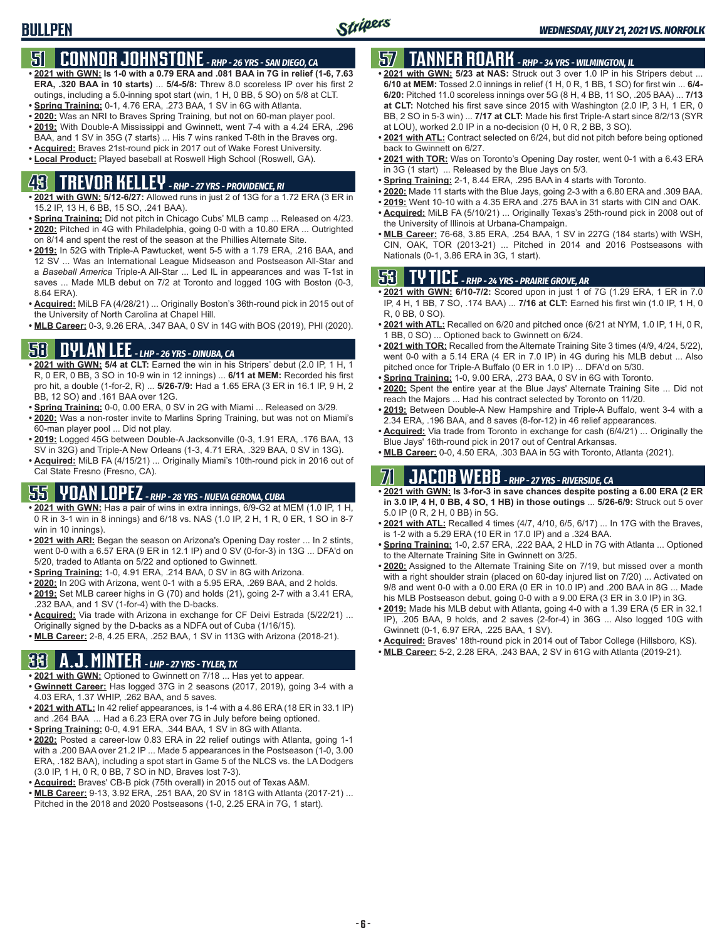## **51 CONNOR JOHNSTONE** *- RHP - 26 YRS - SAN DIEGO, CA*

- **• 2021 with GWN: Is 1-0 with a 0.79 ERA and .081 BAA in 7G in relief (1-6, 7.63 ERA, .320 BAA in 10 starts)** ... **5/4-5/8:** Threw 8.0 scoreless IP over his first 2 outings, including a 5.0-inning spot start (win, 1 H, 0 BB, 5 SO) on 5/8 at CLT.
- **• Spring Training:** 0-1, 4.76 ERA, .273 BAA, 1 SV in 6G with Atlanta.
- **• 2020:** Was an NRI to Braves Spring Training, but not on 60-man player pool. **• 2019:** With Double-A Mississippi and Gwinnett, went 7-4 with a 4.24 ERA, .296
- BAA, and 1 SV in 35G (7 starts) ... His 7 wins ranked T-8th in the Braves org.
- **• Acquired:** Braves 21st-round pick in 2017 out of Wake Forest University.

#### **• Local Product:** Played baseball at Roswell High School (Roswell, GA).

## **43 TREVOR KELLEY** *- RHP - 27 YRS - PROVIDENCE, RI*

- **• 2021 with GWN: 5/12-6/27:** Allowed runs in just 2 of 13G for a 1.72 ERA (3 ER in 15.2 IP, 13 H, 6 BB, 15 SO, .241 BAA).
- **• Spring Training:** Did not pitch in Chicago Cubs' MLB camp ... Released on 4/23. **• 2020:** Pitched in 4G with Philadelphia, going 0-0 with a 10.80 ERA ... Outrighted on 8/14 and spent the rest of the season at the Phillies Alternate Site.
- **• 2019:** In 52G with Triple-A Pawtucket, went 5-5 with a 1.79 ERA, .216 BAA, and 12 SV ... Was an International League Midseason and Postseason All-Star and a *Baseball America* Triple-A All-Star ... Led IL in appearances and was T-1st in saves ... Made MLB debut on 7/2 at Toronto and logged 10G with Boston (0-3, 8.64 ERA).
- **• Acquired:** MiLB FA (4/28/21) ... Originally Boston's 36th-round pick in 2015 out of the University of North Carolina at Chapel Hill.
- **• MLB Career:** 0-3, 9.26 ERA, .347 BAA, 0 SV in 14G with BOS (2019), PHI (2020).

## **58 DYLAN LEE** *- LHP - 26 YRS - DINUBA, CA*

- **• 2021 with GWN: 5/4 at CLT:** Earned the win in his Stripers' debut (2.0 IP, 1 H, 1 R, 0 ER, 0 BB, 3 SO in 10-9 win in 12 innings) ... **6/11 at MEM:** Recorded his first pro hit, a double (1-for-2, R) ... **5/26-7/9:** Had a 1.65 ERA (3 ER in 16.1 IP, 9 H, 2 BB, 12 SO) and .161 BAA over 12G.
- **• Spring Training:** 0-0, 0.00 ERA, 0 SV in 2G with Miami ... Released on 3/29.
- **• 2020:** Was a non-roster invite to Marlins Spring Training, but was not on Miami's 60-man player pool ... Did not play.
- **• 2019:** Logged 45G between Double-A Jacksonville (0-3, 1.91 ERA, .176 BAA, 13 SV in 32G) and Triple-A New Orleans (1-3, 4.71 ERA, .329 BAA, 0 SV in 13G).
- **• Acquired:** MiLB FA (4/15/21) ... Originally Miami's 10th-round pick in 2016 out of Cal State Fresno (Fresno, CA).

## **55 YOAN LOPEZ** *- RHP - 28 YRS - NUEVA GERONA, CUBA*

- **• 2021 with GWN:** Has a pair of wins in extra innings, 6/9-G2 at MEM (1.0 IP, 1 H, 0 R in 3-1 win in 8 innings) and 6/18 vs. NAS (1.0 IP, 2 H, 1 R, 0 ER, 1 SO in 8-7 win in 10 innings).
- **• 2021 with ARI:** Began the season on Arizona's Opening Day roster ... In 2 stints, went 0-0 with a 6.57 ERA (9 ER in 12.1 IP) and 0 SV (0-for-3) in 13G ... DFA'd on 5/20, traded to Atlanta on 5/22 and optioned to Gwinnett.
- **• Spring Training:** 1-0, 4.91 ERA, .214 BAA, 0 SV in 8G with Arizona.
- **• 2020:** In 20G with Arizona, went 0-1 with a 5.95 ERA, .269 BAA, and 2 holds.
- **• 2019:** Set MLB career highs in G (70) and holds (21), going 2-7 with a 3.41 ERA, .232 BAA, and 1 SV (1-for-4) with the D-backs.
- **• Acquired:** Via trade with Arizona in exchange for CF Deivi Estrada (5/22/21) ... Originally signed by the D-backs as a NDFA out of Cuba (1/16/15).
- **• MLB Career:** 2-8, 4.25 ERA, .252 BAA, 1 SV in 113G with Arizona (2018-21).

## **33 A.J. MINTER** *- LHP - 27 YRS - TYLER, TX*

- **• 2021 with GWN:** Optioned to Gwinnett on 7/18 ... Has yet to appear.
- **• Gwinnett Career:** Has logged 37G in 2 seasons (2017, 2019), going 3-4 with a 4.03 ERA, 1.37 WHIP, .262 BAA, and 5 saves.
- **• 2021 with ATL:** In 42 relief appearances, is 1-4 with a 4.86 ERA (18 ER in 33.1 IP) and .264 BAA ... Had a 6.23 ERA over 7G in July before being optioned.
- **• Spring Training:** 0-0, 4.91 ERA, .344 BAA, 1 SV in 8G with Atlanta.
- **• 2020:** Posted a career-low 0.83 ERA in 22 relief outings with Atlanta, going 1-1 with a .200 BAA over 21.2 IP ... Made 5 appearances in the Postseason (1-0, 3.00 ERA, .182 BAA), including a spot start in Game 5 of the NLCS vs. the LA Dodgers (3.0 IP, 1 H, 0 R, 0 BB, 7 SO in ND, Braves lost 7-3).
- **• Acquired:** Braves' CB-B pick (75th overall) in 2015 out of Texas A&M.
- **• MLB Career:** 9-13, 3.92 ERA, .251 BAA, 20 SV in 181G with Atlanta (2017-21) ... Pitched in the 2018 and 2020 Postseasons (1-0, 2.25 ERA in 7G, 1 start).

## **57 TANNER ROARK** *- RHP - 34 YRS - WILMINGTON, IL*

- **• 2021 with GWN: 5/23 at NAS:** Struck out 3 over 1.0 IP in his Stripers debut ... **6/10 at MEM:** Tossed 2.0 innings in relief (1 H, 0 R, 1 BB, 1 SO) for first win ... **6/4- 6/20:** Pitched 11.0 scoreless innings over 5G (8 H, 4 BB, 11 SO, .205 BAA) ... **7/13 at CLT:** Notched his first save since 2015 with Washington (2.0 IP, 3 H, 1 ER, 0 BB, 2 SO in 5-3 win) ... **7/17 at CLT:** Made his first Triple-A start since 8/2/13 (SYR at LOU), worked 2.0 IP in a no-decision (0 H, 0 R, 2 BB, 3 SO).
- **• 2021 with ATL:** Contract selected on 6/24, but did not pitch before being optioned back to Gwinnett on 6/27.
- **• 2021 with TOR:** Was on Toronto's Opening Day roster, went 0-1 with a 6.43 ERA in 3G (1 start) ... Released by the Blue Jays on 5/3.
- **• Spring Training:** 2-1, 8.44 ERA, .295 BAA in 4 starts with Toronto.
- **• 2020:** Made 11 starts with the Blue Jays, going 2-3 with a 6.80 ERA and .309 BAA.
- **• 2019:** Went 10-10 with a 4.35 ERA and .275 BAA in 31 starts with CIN and OAK.
- **• Acquired:** MiLB FA (5/10/21) ... Originally Texas's 25th-round pick in 2008 out of the University of Illinois at Urbana-Champaign.
- **• MLB Career:** 76-68, 3.85 ERA, .254 BAA, 1 SV in 227G (184 starts) with WSH, CIN, OAK, TOR (2013-21) ... Pitched in 2014 and 2016 Postseasons with Nationals (0-1, 3.86 ERA in 3G, 1 start).

## **53 TY TICE** *- RHP - 24 YRS - PRAIRIE GROVE, AR*

- **• 2021 with GWN: 6/10-7/2:** Scored upon in just 1 of 7G (1.29 ERA, 1 ER in 7.0 IP, 4 H, 1 BB, 7 SO, .174 BAA) ... **7/16 at CLT:** Earned his first win (1.0 IP, 1 H, 0 R, 0 BB, 0 SO).
- **• 2021 with ATL:** Recalled on 6/20 and pitched once (6/21 at NYM, 1.0 IP, 1 H, 0 R, 1 BB, 0 SO) ... Optioned back to Gwinnett on 6/24.
- **• 2021 with TOR:** Recalled from the Alternate Training Site 3 times (4/9, 4/24, 5/22), went 0-0 with a 5.14 ERA (4 ER in 7.0 IP) in 4G during his MLB debut ... Also pitched once for Triple-A Buffalo (0 ER in 1.0 IP) ... DFA'd on 5/30.
- **• Spring Training:** 1-0, 9.00 ERA, .273 BAA, 0 SV in 6G with Toronto.
- **• 2020:** Spent the entire year at the Blue Jays' Alternate Training Site ... Did not reach the Majors ... Had his contract selected by Toronto on 11/20.
- **• 2019:** Between Double-A New Hampshire and Triple-A Buffalo, went 3-4 with a 2.34 ERA, .196 BAA, and 8 saves (8-for-12) in 46 relief appearances.
- **• Acquired:** Via trade from Toronto in exchange for cash (6/4/21) ... Originally the Blue Jays' 16th-round pick in 2017 out of Central Arkansas.
- **• MLB Career:** 0-0, 4.50 ERA, .303 BAA in 5G with Toronto, Atlanta (2021).

## **71 JACOB WEBB** *- RHP - 27 YRS - RIVERSIDE, CA*

- **• 2021 with GWN: Is 3-for-3 in save chances despite posting a 6.00 ERA (2 ER in 3.0 IP, 4 H, 0 BB, 4 SO, 1 HB) in those outings** ... **5/26-6/9:** Struck out 5 over 5.0 IP (0 R, 2 H, 0 BB) in 5G.
- **• 2021 with ATL:** Recalled 4 times (4/7, 4/10, 6/5, 6/17) ... In 17G with the Braves, is 1-2 with a 5.29 ERA (10 ER in 17.0 IP) and a .324 BAA.
- **• Spring Training:** 1-0, 2.57 ERA, .222 BAA, 2 HLD in 7G with Atlanta ... Optioned to the Alternate Training Site in Gwinnett on 3/25.
- **• 2020:** Assigned to the Alternate Training Site on 7/19, but missed over a month with a right shoulder strain (placed on 60-day injured list on 7/20) ... Activated on 9/8 and went 0-0 with a 0.00 ERA (0 ER in 10.0 IP) and .200 BAA in 8G ... Made his MLB Postseason debut, going 0-0 with a 9.00 ERA (3 ER in 3.0 IP) in 3G.
- **• 2019:** Made his MLB debut with Atlanta, going 4-0 with a 1.39 ERA (5 ER in 32.1 IP), .205 BAA, 9 holds, and 2 saves (2-for-4) in 36G ... Also logged 10G with Gwinnett (0-1, 6.97 ERA, .225 BAA, 1 SV).
- **• Acquired:** Braves' 18th-round pick in 2014 out of Tabor College (Hillsboro, KS).
- **• MLB Career:** 5-2, 2.28 ERA, .243 BAA, 2 SV in 61G with Atlanta (2019-21).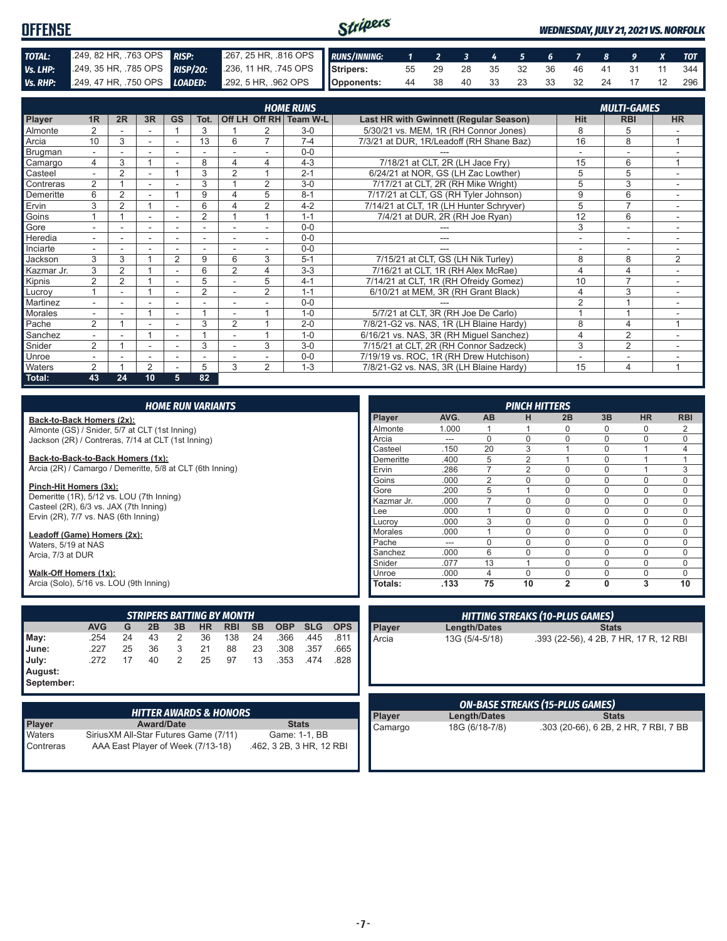#### Stripers **OFFENSE** *WEDNESDAY, JULY 21, 2021 VS. NORFOLK TOTAL:* .249, 82 HR, .763 OPS *RISP:* .267, 25 HR, .816 OPS *RUNS/INNING: 1 2 3 4 5 6 7 8 9 X TOT Vs. LHP:* .249, 35 HR, .785 OPS *RISP/2O:* .236, 11 HR, .745 OPS **Stripers:** 55 29 28 35 32 36 46 41 31 11 344 *Vs. RHP:* .249, 47 HR, .750 OPS *LOADED:* **Opponents:** 44 38 40 33 23 33 32 24 17 12 296

|                | <b>HOME RUNS</b><br><b>MULTI-GAMES</b> |                |                          |                          |                |                |                |          |                                               |                          |                |                          |
|----------------|----------------------------------------|----------------|--------------------------|--------------------------|----------------|----------------|----------------|----------|-----------------------------------------------|--------------------------|----------------|--------------------------|
| Player         | 1R                                     | 2R             | 3R                       | <b>GS</b>                | Tot.           |                | Off LH Off RH  | Team W-L | <b>Last HR with Gwinnett (Regular Season)</b> | <b>Hit</b>               | <b>RBI</b>     | <b>HR</b>                |
| Almonte        | 2                                      |                |                          |                          | 3              |                |                | $3-0$    | 5/30/21 vs. MEM, 1R (RH Connor Jones)         | 8                        | 5              |                          |
| Arcia          | 10                                     | 3              | $\overline{\phantom{a}}$ | $\overline{\phantom{a}}$ | 13             | 6              |                | $7 - 4$  | 7/3/21 at DUR, 1R/Leadoff (RH Shane Baz)      | 16                       | 8              |                          |
| Brugman        |                                        |                |                          |                          |                |                |                | $0 - 0$  |                                               |                          |                |                          |
| Camargo        | 4                                      | 3              | $\overline{A}$           |                          | 8              | 4              | 4              | $4 - 3$  | 7/18/21 at CLT, 2R (LH Jace Fry)              | 15                       | 6              | $\overline{ }$           |
| Casteel        | $\sim$                                 | $\overline{2}$ |                          |                          | 3              | $\overline{2}$ |                | $2 - 1$  | 6/24/21 at NOR, GS (LH Zac Lowther)           | 5                        | 5              |                          |
| Contreras      | $\overline{2}$                         |                |                          |                          | 3              |                | 2              | $3-0$    | 7/17/21 at CLT, 2R (RH Mike Wright)           | 5                        | 3              | $\sim$                   |
| Demeritte      | 6                                      | $\overline{2}$ |                          |                          | 9              | 4              | 5              | $8 - 1$  | 7/17/21 at CLT, GS (RH Tyler Johnson)         | 9                        | 6              | ٠                        |
| Ervin          | 3                                      | 2              |                          |                          | 6              |                | 2              | $4 - 2$  | 7/14/21 at CLT, 1R (LH Hunter Schryver)       | 5                        | $\overline{7}$ |                          |
| Goins          |                                        |                | $\overline{\phantom{a}}$ |                          | $\overline{2}$ |                |                | $1 - 1$  | 7/4/21 at DUR, 2R (RH Joe Ryan)               | 12                       | 6              | $\sim$                   |
| Gore           |                                        |                |                          |                          |                |                |                | $0 - 0$  |                                               | 3                        | $\sim$         |                          |
| Heredia        | $\overline{\phantom{0}}$               |                |                          |                          | ٠              |                |                | $0 - 0$  | ---                                           | $\overline{\phantom{a}}$ | $\sim$         | $\overline{\phantom{a}}$ |
| Inciarte       | $\overline{\phantom{0}}$               |                |                          |                          |                |                |                | $0 - 0$  |                                               |                          | ۰              |                          |
| Jackson        | 3                                      | 3              |                          | $\overline{2}$           | 9              | 6              | 3              | $5 - 1$  | 7/15/21 at CLT, GS (LH Nik Turley)            | 8                        | 8              | 2                        |
| Kazmar Jr.     | 3                                      | $\overline{2}$ |                          |                          | 6              | $\overline{2}$ | 4              | $3 - 3$  | 7/16/21 at CLT, 1R (RH Alex McRae)            | 4                        | 4              |                          |
| Kipnis         | $\overline{2}$                         | 2              |                          |                          | 5              |                | 5              | $4 - 1$  | 7/14/21 at CLT, 1R (RH Ofreidy Gomez)         | 10                       | $\overline{7}$ | $\sim$                   |
| Lucrov         |                                        | ۰              | 4                        |                          | $\overline{2}$ |                | $\overline{2}$ | $1 - 1$  | 6/10/21 at MEM, 3R (RH Grant Black)           | 4                        | 3              | $\overline{\phantom{a}}$ |
| Martinez       | ٠                                      | ۰              |                          |                          |                |                |                | $0 - 0$  |                                               | $\overline{2}$           |                |                          |
| <b>Morales</b> | ÷.                                     |                | $\overline{A}$           |                          |                |                |                | $1 - 0$  | 5/7/21 at CLT, 3R (RH Joe De Carlo)           |                          |                |                          |
| Pache          | 2                                      |                |                          |                          | 3              | $\overline{2}$ |                | $2 - 0$  | 7/8/21-G2 vs. NAS, 1R (LH Blaine Hardy)       | 8                        | 4              | 1                        |
| Sanchez        | $\overline{\phantom{0}}$               |                | $\overline{ }$           |                          |                |                |                | $1 - 0$  | 6/16/21 vs. NAS, 3R (RH Miguel Sanchez)       | 4                        | $\overline{2}$ |                          |
| Snider         | 2                                      |                |                          | ۰                        | 3              |                | 3              | $3-0$    | 7/15/21 at CLT, 2R (RH Connor Sadzeck)        | 3                        | $\overline{2}$ |                          |
| Unroe          |                                        |                |                          |                          |                |                |                | $0 - 0$  | 7/19/19 vs. ROC, 1R (RH Drew Hutchison)       |                          | ٠              |                          |
| Waters         | 2                                      |                | 2                        |                          | 5              | 3              | $\overline{2}$ | $1 - 3$  | 7/8/21-G2 vs. NAS, 3R (LH Blaine Hardy)       | 15                       | 4              | 1                        |
| Total:         | 43                                     | 24             | 10                       | 5                        | 82             |                |                |          |                                               |                          |                |                          |

| <b>HOME RUN VARIANTS</b>                                                   |            |    |                   |                |           |                                  |           |                     |                                        | <b>PINCH HITTERS</b> |                |      |                     |                                        |                |              |                                        |                |
|----------------------------------------------------------------------------|------------|----|-------------------|----------------|-----------|----------------------------------|-----------|---------------------|----------------------------------------|----------------------|----------------|------|---------------------|----------------------------------------|----------------|--------------|----------------------------------------|----------------|
| Back-to-Back Homers (2x):                                                  |            |    |                   |                |           |                                  |           |                     |                                        |                      | Player         | AVG. | <b>AB</b>           | н                                      | 2B             | 3B           | <b>HR</b>                              | <b>RBI</b>     |
| Almonte (GS) / Snider, 5/7 at CLT (1st Inning)                             |            |    |                   |                |           |                                  | Almonte   | 1.000               |                                        |                      | $\Omega$       | 0    | 0                   | 2                                      |                |              |                                        |                |
| Jackson (2R) / Contreras, 7/14 at CLT (1st Inning)                         |            |    |                   |                |           |                                  |           |                     |                                        |                      | Arcia          | ---  | $\Omega$            | $\Omega$                               | $\Omega$       | $\Omega$     | 0                                      | 0              |
|                                                                            |            |    |                   |                |           |                                  |           |                     |                                        |                      | Casteel        | .150 | 20                  | 3                                      |                | 0            |                                        | $\overline{4}$ |
| Back-to-Back-to-Back Homers (1x):                                          |            |    |                   |                |           |                                  |           |                     |                                        |                      | Demeritte      | .400 | 5                   | $\overline{2}$                         |                | 0            |                                        |                |
| Arcia (2R) / Camargo / Demeritte, 5/8 at CLT (6th Inning)                  |            |    |                   |                |           |                                  |           |                     |                                        |                      | Ervin          | .286 | $\overline{7}$      | 2                                      | $\Omega$       | $\Omega$     | $\overline{1}$                         | 3              |
|                                                                            |            |    |                   |                |           |                                  |           |                     |                                        |                      | Goins          | .000 | $\overline{2}$      | $\mathbf 0$                            | $\Omega$       | 0            | 0                                      | $\mathbf 0$    |
| Pinch-Hit Homers (3x):<br>Demeritte (1R), 5/12 vs. LOU (7th Inning)        |            |    |                   |                |           |                                  |           |                     |                                        |                      | Gore           | .200 | 5                   |                                        | $\mathbf 0$    | 0            | 0                                      | $\mathbf 0$    |
| Casteel (2R), 6/3 vs. JAX (7th Inning)                                     |            |    |                   |                |           |                                  |           |                     |                                        |                      | Kazmar Jr.     | .000 | $\overline{7}$      | $\Omega$                               | $\Omega$       | 0            | $\Omega$                               | $\mathbf 0$    |
| Ervin (2R), 7/7 vs. NAS (6th Inning)                                       |            |    |                   |                |           |                                  |           |                     |                                        |                      | Lee            | .000 | $\mathbf{1}$        | $\Omega$                               | $\Omega$       | 0            | 0                                      | $\mathbf 0$    |
|                                                                            |            |    |                   |                |           |                                  |           |                     |                                        |                      | Lucroy         | .000 | 3                   | $\Omega$                               | $\Omega$       | 0            | 0                                      | $\mathbf 0$    |
| Leadoff (Game) Homers (2x):                                                |            |    |                   |                |           |                                  |           |                     |                                        |                      | <b>Morales</b> | .000 | $\mathbf{1}$        | $\Omega$                               | $\Omega$       | 0            | 0                                      | $\mathbf 0$    |
| Waters, 5/19 at NAS                                                        |            |    |                   |                |           |                                  |           |                     |                                        |                      | Pache          | ---  | $\mathbf 0$         | $\mathbf 0$                            | $\Omega$       | 0            | 0                                      | 0              |
| Arcia, 7/3 at DUR                                                          |            |    |                   |                |           |                                  |           |                     |                                        |                      | Sanchez        | .000 | $\overline{6}$      | $\mathbf{0}$                           | $\mathbf{0}$   | 0            | 0                                      | $\mathbf 0$    |
|                                                                            |            |    |                   |                |           |                                  |           |                     |                                        |                      | Snider         | .077 | $\overline{13}$     |                                        | $\Omega$       | 0            | 0                                      | $\mathbf 0$    |
| Walk-Off Homers (1x):                                                      |            |    |                   |                |           |                                  |           |                     |                                        |                      | Unroe          | .000 | 4                   | $\Omega$                               | $\Omega$       | 0            | 0                                      | $\mathbf 0$    |
| Arcia (Solo), 5/16 vs. LOU (9th Inning)                                    |            |    |                   |                |           |                                  |           |                     |                                        |                      | Totals:        | .133 | 75                  | 10                                     | $\overline{2}$ | 0            | 3                                      | 10             |
|                                                                            |            |    |                   |                |           |                                  |           |                     |                                        |                      |                |      |                     |                                        |                |              |                                        |                |
|                                                                            |            |    |                   |                |           | <b>STRIPERS BATTING BY MONTH</b> |           |                     |                                        |                      |                |      |                     | <b>HITTING STREAKS (10-PLUS GAMES)</b> |                |              |                                        |                |
|                                                                            | <b>AVG</b> | G  | 2B                | 3B             | <b>HR</b> | <b>RBI</b>                       | <b>SB</b> | <b>OBP</b>          | <b>SLG</b>                             | <b>OPS</b>           | Player         |      | <b>Length/Dates</b> |                                        |                | <b>Stats</b> |                                        |                |
| May:                                                                       | .254       | 24 | 43                | 2              | 36        | 138                              | 24        | .366                | .445                                   | .811                 | Arcia          |      | 13G (5/4-5/18)      |                                        |                |              | .393 (22-56), 4 2B, 7 HR, 17 R, 12 RBI |                |
| June:                                                                      | .227       | 25 | 36                | 3              | 21        | 88                               | 23        | .308                | .357                                   | .665                 |                |      |                     |                                        |                |              |                                        |                |
| July:                                                                      | .272       | 17 | 40                | $\overline{2}$ | 25        | 97                               | 13        | .353                | .474                                   | .828                 |                |      |                     |                                        |                |              |                                        |                |
| August:                                                                    |            |    |                   |                |           |                                  |           |                     |                                        |                      |                |      |                     |                                        |                |              |                                        |                |
| September:                                                                 |            |    |                   |                |           |                                  |           |                     |                                        |                      |                |      |                     |                                        |                |              |                                        |                |
|                                                                            |            |    |                   |                |           |                                  |           |                     |                                        |                      |                |      |                     |                                        |                |              |                                        |                |
|                                                                            |            |    |                   |                |           |                                  |           |                     | <b>ON-BASE STREAKS (15-PLUS GAMES)</b> |                      |                |      |                     |                                        |                |              |                                        |                |
| <b>HITTER AWARDS &amp; HONORS</b>                                          |            |    |                   |                |           | Player                           |           | <b>Length/Dates</b> |                                        |                      | <b>Stats</b>   |      |                     |                                        |                |              |                                        |                |
| Player                                                                     |            |    | <b>Award/Date</b> |                |           |                                  |           | <b>Stats</b>        |                                        |                      | Camargo        |      | 18G (6/18-7/8)      |                                        |                |              | .303 (20-66), 6 2B, 2 HR, 7 RBI, 7 BB  |                |
| Waters<br>Game: 1-1, BB<br>Sirius XM All-Star Futures Game (7/11)          |            |    |                   |                |           |                                  |           |                     |                                        |                      |                |      |                     |                                        |                |              |                                        |                |
| AAA East Player of Week (7/13-18)<br>.462, 3 2B, 3 HR, 12 RBI<br>Contreras |            |    |                   |                |           |                                  |           |                     |                                        |                      |                |      |                     |                                        |                |              |                                        |                |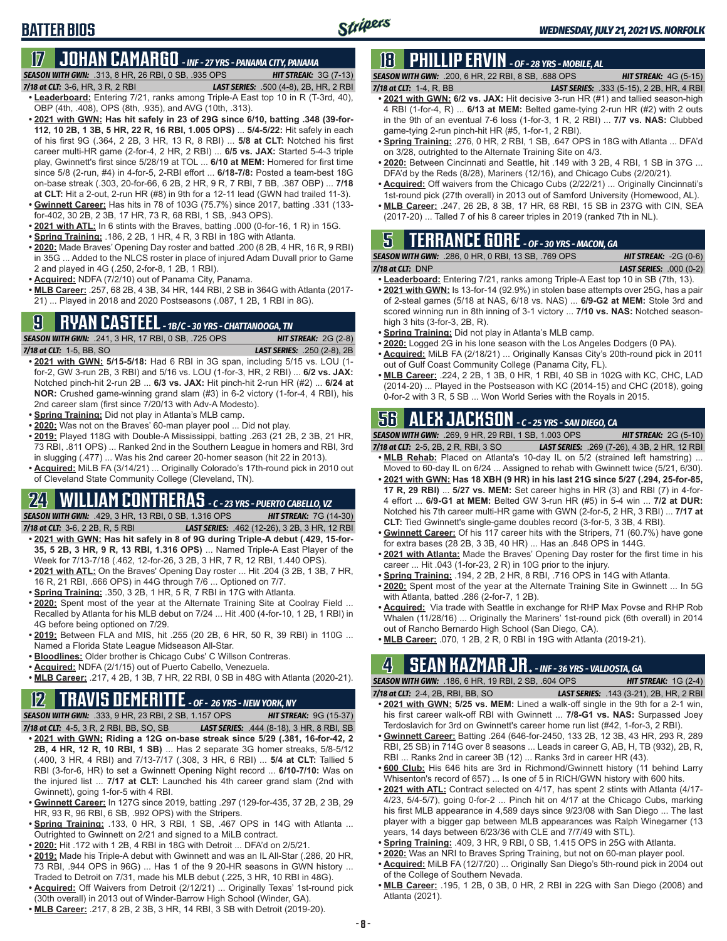# **BATTER BIOS**

#### **17 JOHAN CAMARGO** *- INF - 27 YRS - PANAMA CITY, PANAMA SEASON WITH GWN:*.313, 8 HR, 26 RBI, 0 SB, .935 OPS *HIT STREAK:* 3G (7-13)

*7/18 at CLT:* 3-6, HR, 3 R, 2 RBI *LAST SERIES:* .500 (4-8), 2B, HR, 2 RBI

- **• Leaderboard:** Entering 7/21, ranks among Triple-A East top 10 in R (T-3rd, 40), OBP (4th, .408), OPS (8th, .935), and AVG (10th, .313).
- **• 2021 with GWN: Has hit safely in 23 of 29G since 6/10, batting .348 (39-for-112, 10 2B, 1 3B, 5 HR, 22 R, 16 RBI, 1.005 OPS)** ... **5/4-5/22:** Hit safely in each of his first 9G (.364, 2 2B, 3 HR, 13 R, 8 RBI) ... **5/8 at CLT:** Notched his first career multi-HR game (2-for-4, 2 HR, 2 RBI) ... **6/5 vs. JAX:** Started 5-4-3 triple play, Gwinnett's first since 5/28/19 at TOL ... **6/10 at MEM:** Homered for first time since 5/8 (2-run, #4) in 4-for-5, 2-RBI effort ... **6/18-7/8:** Posted a team-best 18G on-base streak (.303, 20-for-66, 6 2B, 2 HR, 9 R, 7 RBI, 7 BB, .387 OBP) ... **7/18 at CLT:** Hit a 2-out, 2-run HR (#8) in 9th for a 12-11 lead (GWN had trailed 11-3).
- **• Gwinnett Career:** Has hits in 78 of 103G (75.7%) since 2017, batting .331 (133 for-402, 30 2B, 2 3B, 17 HR, 73 R, 68 RBI, 1 SB, .943 OPS).
- **• 2021 with ATL:** In 6 stints with the Braves, batting .000 (0-for-16, 1 R) in 15G.
- **• Spring Training:** .186, 2 2B, 1 HR, 4 R, 3 RBI in 18G with Atlanta.
- **• 2020:** Made Braves' Opening Day roster and batted .200 (8 2B, 4 HR, 16 R, 9 RBI) in 35G ... Added to the NLCS roster in place of injured Adam Duvall prior to Game 2 and played in 4G (.250, 2-for-8, 1 2B, 1 RBI).
- **• Acquired:** NDFA (7/2/10) out of Panama City, Panama.
- **• MLB Career:** .257, 68 2B, 4 3B, 34 HR, 144 RBI, 2 SB in 364G with Atlanta (2017- 21) ... Played in 2018 and 2020 Postseasons (.087, 1 2B, 1 RBI in 8G).

## **9 RYAN CASTEEL** *- 1B/C - 30 YRS - CHATTANOOGA, TN*

*SEASON WITH GWN:*.241, 3 HR, 17 RBI, 0 SB, .725 OPS *HIT STREAK:* 2G (2-8) *7/18 at CLT:*1-5, BB, SO *LAST SERIES:* .250 (2-8), 2B

- **• 2021 with GWN: 5/15-5/18:** Had 6 RBI in 3G span, including 5/15 vs. LOU (1 for-2, GW 3-run 2B, 3 RBI) and 5/16 vs. LOU (1-for-3, HR, 2 RBI) ... **6/2 vs. JAX:** Notched pinch-hit 2-run 2B ... **6/3 vs. JAX:** Hit pinch-hit 2-run HR (#2) ... **6/24 at NOR:** Crushed game-winning grand slam (#3) in 6-2 victory (1-for-4, 4 RBI), his 2nd career slam (first since 7/20/13 with Adv-A Modesto).
- **• Spring Training:** Did not play in Atlanta's MLB camp.
- **• 2020:** Was not on the Braves' 60-man player pool ... Did not play.
- **• 2019:** Played 118G with Double-A Mississippi, batting .263 (21 2B, 2 3B, 21 HR, 73 RBI, .811 OPS) ... Ranked 2nd in the Southern League in homers and RBI, 3rd in slugging (.477) ... Was his 2nd career 20-homer season (hit 22 in 2013).
- **• Acquired:** MiLB FA (3/14/21) ... Originally Colorado's 17th-round pick in 2010 out of Cleveland State Community College (Cleveland, TN).

## **24 WILLIAM CONTRERAS** *- C - 23 YRS - PUERTO CABELLO, VZ*

*SEASON WITH GWN:*.429, 3 HR, 13 RBI, 0 SB, 1.316 OPS *HIT STREAK:* 7G (14-30)

- *7/18 at CLT:* 3-6, 2 2B, R, 5 RBI *LAST SERIES:* .462 (12-26), 3 2B, 3 HR, 12 RBI **• 2021 with GWN: Has hit safely in 8 of 9G during Triple-A debut (.429, 15-for-35, 5 2B, 3 HR, 9 R, 13 RBI, 1.316 OPS)** ... Named Triple-A East Player of the Week for 7/13-7/18 (.462, 12-for-26, 3 2B, 3 HR, 7 R, 12 RBI, 1.440 OPS).
- **• 2021 with ATL:** On the Braves' Opening Day roster ... Hit .204 (3 2B, 1 3B, 7 HR, 16 R, 21 RBI, .666 OPS) in 44G through 7/6 ... Optioned on 7/7.
- **• Spring Training:** .350, 3 2B, 1 HR, 5 R, 7 RBI in 17G with Atlanta.
- **• 2020:** Spent most of the year at the Alternate Training Site at Coolray Field ... Recalled by Atlanta for his MLB debut on 7/24 ... Hit .400 (4-for-10, 1 2B, 1 RBI) in 4G before being optioned on 7/29.
- **• 2019:** Between FLA and MIS, hit .255 (20 2B, 6 HR, 50 R, 39 RBI) in 110G ... Named a Florida State League Midseason All-Star.
- **• Bloodlines:** Older brother is Chicago Cubs' C Willson Contreras.
- **• Acquired:** NDFA (2/1/15) out of Puerto Cabello, Venezuela.
- **• MLB Career:** .217, 4 2B, 1 3B, 7 HR, 22 RBI, 0 SB in 48G with Atlanta (2020-21).

## **12 TRAVIS DEMERITTE** *- OF - 26 YRS - NEW YORK, NY*

*SEASON WITH GWN:*.333, 9 HR, 23 RBI, 2 SB, 1.157 OPS *HIT STREAK:* 9G (15-37) *7/18 at CLT:*4-5, 3 R, 2 RBI, BB, SO, SB *LAST SERIES:* .444 (8-18), 3 HR, 8 RBI, SB

- **• 2021 with GWN: Riding a 12G on-base streak since 5/29 (.381, 16-for-42, 2 2B, 4 HR, 12 R, 10 RBI, 1 SB)** ... Has 2 separate 3G homer streaks, 5/8-5/12 (.400, 3 HR, 4 RBI) and 7/13-7/17 (.308, 3 HR, 6 RBI) ... **5/4 at CLT:** Tallied 5 RBI (3-for-6, HR) to set a Gwinnett Opening Night record ... **6/10-7/10:** Was on the injured list ... **7/17 at CLT:** Launched his 4th career grand slam (2nd with Gwinnett), going 1-for-5 with 4 RBI.
- **• Gwinnett Career:** In 127G since 2019, batting .297 (129-for-435, 37 2B, 2 3B, 29 HR, 93 R, 96 RBI, 6 SB, .992 OPS) with the Stripers.
- **• Spring Training:** .133, 0 HR, 3 RBI, 1 SB, .467 OPS in 14G with Atlanta ... Outrighted to Gwinnett on 2/21 and signed to a MiLB contract.
- **• 2020:** Hit .172 with 1 2B, 4 RBI in 18G with Detroit ... DFA'd on 2/5/21.
- **• 2019:** Made his Triple-A debut with Gwinnett and was an IL All-Star (.286, 20 HR, 73 RBI, .944 OPS in 96G) ... Has 1 of the 9 20-HR seasons in GWN history ... Traded to Detroit on 7/31, made his MLB debut (.225, 3 HR, 10 RBI in 48G).
- **• Acquired:** Off Waivers from Detroit (2/12/21) ... Originally Texas' 1st-round pick (30th overall) in 2013 out of Winder-Barrow High School (Winder, GA).
- **• MLB Career:** .217, 8 2B, 2 3B, 3 HR, 14 RBI, 3 SB with Detroit (2019-20).

## **18 PHILLIP ERVIN** *- OF - 28 YRS - MOBILE, AL*

*SEASON WITH GWN:*.200, 6 HR, 22 RBI, 8 SB, .688 OPS *HIT STREAK:* 4G (5-15) *7/18 at CLT:*1-4, R, BB *LAST SERIES:* .333 (5-15), 2 2B, HR, 4 RBI

- **• 2021 with GWN: 6/2 vs. JAX:** Hit decisive 3-run HR (#1) and tallied season-high 4 RBI (1-for-4, R) ... **6/13 at MEM:** Belted game-tying 2-run HR (#2) with 2 outs in the 9th of an eventual 7-6 loss (1-for-3, 1 R, 2 RBI) ... **7/7 vs. NAS:** Clubbed game-tying 2-run pinch-hit HR (#5, 1-for-1, 2 RBI).
- **• Spring Training:** .276, 0 HR, 2 RBI, 1 SB, .647 OPS in 18G with Atlanta ... DFA'd on 3/28, outrighted to the Alternate Training Site on 4/3.
- **• 2020:** Between Cincinnati and Seattle, hit .149 with 3 2B, 4 RBI, 1 SB in 37G ... DFA'd by the Reds (8/28), Mariners (12/16), and Chicago Cubs (2/20/21).
- **• Acquired:** Off waivers from the Chicago Cubs (2/22/21) ... Originally Cincinnati's 1st-round pick (27th overall) in 2013 out of Samford University (Homewood, AL).
- **• MLB Career:** .247, 26 2B, 8 3B, 17 HR, 68 RBI, 15 SB in 237G with CIN, SEA (2017-20) ... Talled 7 of his 8 career triples in 2019 (ranked 7th in NL).

## **5 TERRANCE GORE** *- OF - 30 YRS - MACON, GA*

|                    | <b>SEASON WITH GWN:</b> .286, 0 HR, 0 RBI, 13 SB, .769 OPS | <b>HIT STREAK:</b> $-2G(0-6)$  |
|--------------------|------------------------------------------------------------|--------------------------------|
| $7/18$ at CLT: DNP |                                                            | <b>LAST SERIES:</b> .000 (0-2) |

- **• Leaderboard:** Entering 7/21, ranks among Triple-A East top 10 in SB (7th, 13). **• 2021 with GWN:** Is 13-for-14 (92.9%) in stolen base attempts over 25G, has a pair
- of 2-steal games (5/18 at NAS, 6/18 vs. NAS) ... **6/9-G2 at MEM:** Stole 3rd and scored winning run in 8th inning of 3-1 victory ... **7/10 vs. NAS:** Notched seasonhigh 3 hits (3-for-3, 2B, R).
- **• Spring Training:** Did not play in Atlanta's MLB camp.
- **• 2020:** Logged 2G in his lone season with the Los Angeles Dodgers (0 PA).
- **• Acquired:** MiLB FA (2/18/21) ... Originally Kansas City's 20th-round pick in 2011 out of Gulf Coast Community College (Panama City, FL).
- **• MLB Career:** .224, 2 2B, 1 3B, 0 HR, 1 RBI, 40 SB in 102G with KC, CHC, LAD (2014-20) ... Played in the Postseason with KC (2014-15) and CHC (2018), going 0-for-2 with 3 R, 5 SB ... Won World Series with the Royals in 2015.

## **56 ALEX JACKSON** *- C - 25 YRS - SAN DIEGO, CA*

*SEASON WITH GWN:*.269, 9 HR, 29 RBI, 1 SB, 1.003 OPS *HIT STREAK:* 2G (5-10) *7/18 at CLT:*2-5, 2B, 2 R, RBI, 3 SO *LAST SERIES:* .269 (7-26), 4 3B, 2 HR, 12 RBI

- **• MLB Rehab:** Placed on Atlanta's 10-day IL on 5/2 (strained left hamstring) ...
- Moved to 60-day IL on 6/24 ... Assigned to rehab with Gwinnett twice (5/21, 6/30). **• 2021 with GWN: Has 18 XBH (9 HR) in his last 21G since 5/27 (.294, 25-for-85, 17 R, 29 RBI)** ... **5/27 vs. MEM:** Set career highs in HR (3) and RBI (7) in 4-for-4 effort ... **6/9-G1 at MEM:** Belted GW 3-run HR (#5) in 5-4 win ... **7/2 at DUR:** Notched his 7th career multi-HR game with GWN (2-for-5, 2 HR, 3 RBI) ... **7/17 at CLT:** Tied Gwinnett's single-game doubles record (3-for-5, 3 3B, 4 RBI).
- **• Gwinnett Career:** Of his 117 career hits with the Stripers, 71 (60.7%) have gone for extra bases (28 2B, 3 3B, 40 HR) ... Has an .848 OPS in 144G.
- **• 2021 with Atlanta:** Made the Braves' Opening Day roster for the first time in his career ... Hit .043 (1-for-23, 2 R) in 10G prior to the injury.
- **• Spring Training:** .194, 2 2B, 2 HR, 8 RBI, .716 OPS in 14G with Atlanta.
- **• 2020:** Spent most of the year at the Alternate Training Site in Gwinnett ... In 5G with Atlanta, batted .286 (2-for-7, 1 2B).
- **• Acquired:** Via trade with Seattle in exchange for RHP Max Povse and RHP Rob Whalen (11/28/16) ... Originally the Mariners' 1st-round pick (6th overall) in 2014 out of Rancho Bernardo High School (San Diego, CA).
- **• MLB Career:** .070, 1 2B, 2 R, 0 RBI in 19G with Atlanta (2019-21).

## **4 SEAN KAZMAR JR.** *- INF - 36 YRS - VALDOSTA, GA*

*SEASON WITH GWN:*.186, 6 HR, 19 RBI, 2 SB, .604 OPS *HIT STREAK:* 1G (2-4)

- *7/18 at CLT:*2-4, 2B, RBI, BB, SO *LAST SERIES:* .143 (3-21), 2B, HR, 2 RBI **• 2021 with GWN: 5/25 vs. MEM:** Lined a walk-off single in the 9th for a 2-1 win, his first career walk-off RBI with Gwinnett ... **7/8-G1 vs. NAS:** Surpassed Joey Terdoslavich for 3rd on Gwinnett's career home run list (#42, 1-for-3, 2 RBI).
- **• Gwinnett Career:** Batting .264 (646-for-2450, 133 2B, 12 3B, 43 HR, 293 R, 289 RBI, 25 SB) in 714G over 8 seasons ... Leads in career G, AB, H, TB (932), 2B, R, RBI ... Ranks 2nd in career 3B (12) ... Ranks 3rd in career HR (43).
- **• 600 Club:** His 646 hits are 3rd in Richmond/Gwinnett history (11 behind Larry Whisenton's record of 657) ... Is one of 5 in RICH/GWN history with 600 hits.
- **• 2021 with ATL:** Contract selected on 4/17, has spent 2 stints with Atlanta (4/17- 4/23, 5/4-5/7), going 0-for-2 ... Pinch hit on 4/17 at the Chicago Cubs, marking his first MLB appearance in 4,589 days since 9/23/08 with San Diego ... The last player with a bigger gap between MLB appearances was Ralph Winegarner (13 years, 14 days between 6/23/36 with CLE and 7/7/49 with STL).
- **• Spring Training:** .409, 3 HR, 9 RBI, 0 SB, 1.415 OPS in 25G with Atlanta.
- **• 2020:** Was an NRI to Braves Spring Training, but not on 60-man player pool.
- **• Acquired:** MiLB FA (12/7/20) ... Originally San Diego's 5th-round pick in 2004 out of the College of Southern Nevada.
- **• MLB Career:** .195, 1 2B, 0 3B, 0 HR, 2 RBI in 22G with San Diego (2008) and Atlanta (2021).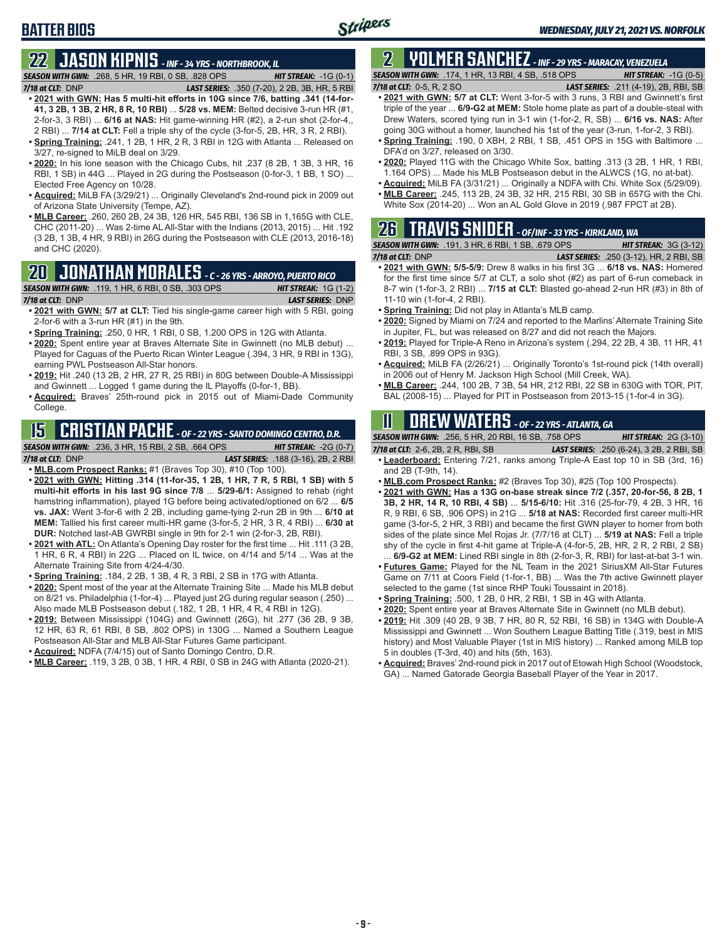## **BATTER BIOS**

## **22 JASON KIPNIS** *- INF - 34 YRS - NORTHBROOK, IL*

*SEASON WITH GWN:*.268, 5 HR, 19 RBI, 0 SB, .828 OPS *HIT STREAK:* -1G (0-1) *7/18 at CLT:*DNP *LAST SERIES:* .350 (7-20), 2 2B, 3B, HR, 5 RBI

- **• 2021 with GWN: Has 5 multi-hit efforts in 10G since 7/6, batting .341 (14-for-41, 3 2B, 1 3B, 2 HR, 8 R, 10 RBI)** ... **5/28 vs. MEM:** Belted decisive 3-run HR (#1, 2-for-3, 3 RBI) ... **6/16 at NAS:** Hit game-winning HR (#2), a 2-run shot (2-for-4,, 2 RBI) ... **7/14 at CLT:** Fell a triple shy of the cycle (3-for-5, 2B, HR, 3 R, 2 RBI).
- **• Spring Training:** .241, 1 2B, 1 HR, 2 R, 3 RBI in 12G with Atlanta ... Released on 3/27, re-signed to MiLB deal on 3/29.
- **• 2020:** In his lone season with the Chicago Cubs, hit .237 (8 2B, 1 3B, 3 HR, 16 RBI, 1 SB) in 44G ... Played in 2G during the Postseason (0-for-3, 1 BB, 1 SO) ... Elected Free Agency on 10/28.
- **• Acquired:** MiLB FA (3/29/21) ... Originally Cleveland's 2nd-round pick in 2009 out of Arizona State University (Tempe, AZ).
- **• MLB Career:** .260, 260 2B, 24 3B, 126 HR, 545 RBI, 136 SB in 1,165G with CLE, CHC (2011-20) ... Was 2-time AL All-Star with the Indians (2013, 2015) ... Hit .192 (3 2B, 1 3B, 4 HR, 9 RBI) in 26G during the Postseason with CLE (2013, 2016-18) and CHC (2020).

### **20 JONATHAN MORALES** *- C - 26 YRS - ARROYO, PUERTO RICO*

*SEASON WITH GWN:*.119, 1 HR, 6 RBI, 0 SB, .303 OPS *HIT STREAK:* 1G (1-2)

- *7/18 at CLT:*DNP *LAST SERIES:* DNP **• 2021 with GWN: 5/7 at CLT:** Tied his single-game career high with 5 RBI, going
- 2-for-6 with a 3-run HR (#1) in the 9th. **• Spring Training:** .250, 0 HR, 1 RBI, 0 SB, 1.200 OPS in 12G with Atlanta.
- **• 2020:** Spent entire year at Braves Alternate Site in Gwinnett (no MLB debut) ... Played for Caguas of the Puerto Rican Winter League (.394, 3 HR, 9 RBI in 13G), earning PWL Postseason All-Star honors.
- **• 2019:** Hit .240 (13 2B, 2 HR, 27 R, 25 RBI) in 80G between Double-A Mississippi and Gwinnett ... Logged 1 game during the IL Playoffs (0-for-1, BB).
- **• Acquired:** Braves' 25th-round pick in 2015 out of Miami-Dade Community College.

## **15 CRISTIAN PACHE** *- OF - 22 YRS - SANTO DOMINGO CENTRO, D.R.*

*SEASON WITH GWN:*.236, 3 HR, 15 RBI, 2 SB, .664 OPS *HIT STREAK:* -2G (0-7)

*7/18 at CLT:* DNP *LAST SERIES:* .188 (3-16), 2B, 2 RBI

- **• MLB.com Prospect Ranks:** #1 (Braves Top 30), #10 (Top 100).
- **• 2021 with GWN: Hitting .314 (11-for-35, 1 2B, 1 HR, 7 R, 5 RBI, 1 SB) with 5 multi-hit efforts in his last 9G since 7/8** ... **5/29-6/1:** Assigned to rehab (right hamstring inflammation), played 1G before being activated/optioned on 6/2 ... **6/5 vs. JAX:** Went 3-for-6 with 2 2B, including game-tying 2-run 2B in 9th ... **6/10 at MEM:** Tallied his first career multi-HR game (3-for-5, 2 HR, 3 R, 4 RBI) ... **6/30 at DUR:** Notched last-AB GWRBI single in 9th for 2-1 win (2-for-3, 2B, RBI).
- **• 2021 with ATL:** On Atlanta's Opening Day roster for the first time ... Hit .111 (3 2B, 1 HR, 6 R, 4 RBI) in 22G ... Placed on IL twice, on 4/14 and 5/14 ... Was at the Alternate Training Site from 4/24-4/30.
- **• Spring Training:** .184, 2 2B, 1 3B, 4 R, 3 RBI, 2 SB in 17G with Atlanta.
- **• 2020:** Spent most of the year at the Alternate Training Site ... Made his MLB debut on 8/21 vs. Philadelphia (1-for-4) ... Played just 2G during regular season (.250) ... Also made MLB Postseason debut (.182, 1 2B, 1 HR, 4 R, 4 RBI in 12G).
- **• 2019:** Between Mississippi (104G) and Gwinnett (26G), hit .277 (36 2B, 9 3B, 12 HR, 63 R, 61 RBI, 8 SB, .802 OPS) in 130G ... Named a Southern League Postseason All-Star and MLB All-Star Futures Game participant.
- **• Acquired:** NDFA (7/4/15) out of Santo Domingo Centro, D.R.
- **• MLB Career:** .119, 3 2B, 0 3B, 1 HR, 4 RBI, 0 SB in 24G with Atlanta (2020-21).

### **2 YOLMER SANCHEZ** *- INF - 29 YRS - MARACAY, VENEZUELA SEASON WITH GWN:*.174, 1 HR, 13 RBI, 4 SB, .518 OPS *HIT STREAK:* -1G (0-5)

- *7/18 at CLT:*0-5, R, 2 SO *LAST SERIES:* .211 (4-19), 2B, RBI, SB **• 2021 with GWN: 5/7 at CLT:** Went 3-for-5 with 3 runs, 3 RBI and Gwinnett's first triple of the year ... **6/9-G2 at MEM:** Stole home plate as part of a double-steal with Drew Waters, scored tying run in 3-1 win (1-for-2, R, SB) ... **6/16 vs. NAS:** After going 30G without a homer, launched his 1st of the year (3-run, 1-for-2, 3 RBI).
- **• Spring Training:** .190, 0 XBH, 2 RBI, 1 SB, .451 OPS in 15G with Baltimore ... DFA'd on 3/27, released on 3/30.
- **• 2020:** Played 11G with the Chicago White Sox, batting .313 (3 2B, 1 HR, 1 RBI, 1.164 OPS) ... Made his MLB Postseason debut in the ALWCS (1G, no at-bat).
- **• Acquired:** MiLB FA (3/31/21) ... Originally a NDFA with Chi. White Sox (5/29/09).
- **• MLB Career:** .245, 113 2B, 24 3B, 32 HR, 215 RBI, 30 SB in 657G with the Chi. White Sox (2014-20) ... Won an AL Gold Glove in 2019 (.987 FPCT at 2B).

### **26 TRAVIS SNIDER** *- OF/INF - 33 YRS - KIRKLAND, WA SEASON WITH GWN:*.191, 3 HR, 6 RBI, 1 SB, .679 OPS *HIT STREAK:* 3G (3-12)

*7/18 at CLT:* DNP *LAST SERIES:* .250 (3-12), HR, 2 RBI, SB

- **• 2021 with GWN: 5/5-5/9:** Drew 8 walks in his first 3G ... **6/18 vs. NAS:** Homered for the first time since 5/7 at CLT, a solo shot (#2) as part of 6-run comeback in 8-7 win (1-for-3, 2 RBI) ... **7/15 at CLT:** Blasted go-ahead 2-run HR (#3) in 8th of 11-10 win (1-for-4, 2 RBI).
- **• Spring Training:** Did not play in Atlanta's MLB camp.
- **• 2020:** Signed by Miami on 7/24 and reported to the Marlins' Alternate Training Site in Jupiter, FL, but was released on 8/27 and did not reach the Majors.
- **• 2019:** Played for Triple-A Reno in Arizona's system (.294, 22 2B, 4 3B, 11 HR, 41 RBI, 3 SB, .899 OPS in 93G).
- **• Acquired:** MiLB FA (2/26/21) ... Originally Toronto's 1st-round pick (14th overall) in 2006 out of Henry M. Jackson High School (Mill Creek, WA).
- **• MLB Career:** .244, 100 2B, 7 3B, 54 HR, 212 RBI, 22 SB in 630G with TOR, PIT, BAL (2008-15) ... Played for PIT in Postseason from 2013-15 (1-for-4 in 3G).

## **11 Drew WATERS** *- OF - 22 YRS - ATLANTA, GA*

| <b>SEASON WITH GWN:</b> .256, 5 HR, 20 RBI, 16 SB, .758 OPS | <b>HIT STREAK:</b> $2G(3-10)$                                                  |
|-------------------------------------------------------------|--------------------------------------------------------------------------------|
| 7/18 at CLT: 2-6, 2B, 2 R, RBI, SB                          | <b>LAST SERIES:</b> .250 (6-24), 3 2B, 2 RBI, SB                               |
|                                                             | • Leaderboard: Entering 7/21, ranks among Triple-A East top 10 in SB (3rd, 16) |
| and $2B(T-9th. 14)$ .                                       |                                                                                |

- **• MLB.com Prospect Ranks:** #2 (Braves Top 30), #25 (Top 100 Prospects).
- **• 2021 with GWN: Has a 13G on-base streak since 7/2 (.357, 20-for-56, 8 2B, 1 3B, 2 HR, 14 R, 10 RBI, 4 SB)** ... **5/15-6/10:** Hit .316 (25-for-79, 4 2B, 3 HR, 16 R, 9 RBI, 6 SB, .906 OPS) in 21G ... **5/18 at NAS:** Recorded first career multi-HR game (3-for-5, 2 HR, 3 RBI) and became the first GWN player to homer from both sides of the plate since Mel Rojas Jr. (7/7/16 at CLT) ... **5/19 at NAS:** Fell a triple shy of the cycle in first 4-hit game at Triple-A (4-for-5, 2B, HR, 2 R, 2 RBI, 2 SB)
- ... **6/9-G2 at MEM:** Lined RBI single in 8th (2-for-3, R, RBI) for last-at-bat 3-1 win. **• Futures Game:** Played for the NL Team in the 2021 SiriusXM All-Star Futures Game on 7/11 at Coors Field (1-for-1, BB) ... Was the 7th active Gwinnett player selected to the game (1st since RHP Touki Toussaint in 2018).
- **• Spring Training:** .500, 1 2B, 0 HR, 2 RBI, 1 SB in 4G with Atlanta.
- **• 2020:** Spent entire year at Braves Alternate Site in Gwinnett (no MLB debut).
- **• 2019:** Hit .309 (40 2B, 9 3B, 7 HR, 80 R, 52 RBI, 16 SB) in 134G with Double-A Mississippi and Gwinnett ... Won Southern League Batting Title (.319, best in MIS history) and Most Valuable Player (1st in MIS history) ... Ranked among MiLB top 5 in doubles (T-3rd, 40) and hits (5th, 163).
- **• Acquired:** Braves' 2nd-round pick in 2017 out of Etowah High School (Woodstock, GA) ... Named Gatorade Georgia Baseball Player of the Year in 2017.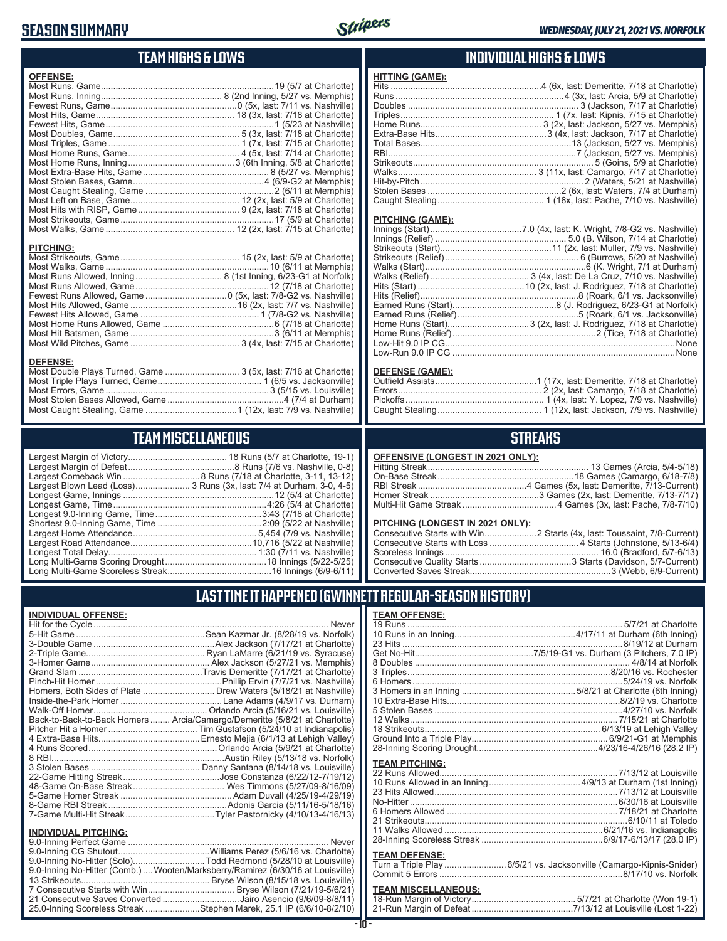## **SEASON SUMMARY**



### **TEAM HIGHS & LOWS**

| <b>OFFENSE:</b>                                                 |  |
|-----------------------------------------------------------------|--|
|                                                                 |  |
|                                                                 |  |
|                                                                 |  |
|                                                                 |  |
|                                                                 |  |
|                                                                 |  |
|                                                                 |  |
|                                                                 |  |
|                                                                 |  |
|                                                                 |  |
|                                                                 |  |
|                                                                 |  |
|                                                                 |  |
|                                                                 |  |
|                                                                 |  |
|                                                                 |  |
|                                                                 |  |
| <b>PITCHING:</b>                                                |  |
|                                                                 |  |
|                                                                 |  |
|                                                                 |  |
|                                                                 |  |
|                                                                 |  |
|                                                                 |  |
|                                                                 |  |
|                                                                 |  |
|                                                                 |  |
|                                                                 |  |
| <b>DEFENSE:</b>                                                 |  |
| Most Double Plays Turned, Game  3 (5x, last: 7/16 at Charlotte) |  |
|                                                                 |  |

Most Triple Plays Turned, Game .......................................... 1 (6/5 vs. Jacksonville) Most Errors, Game ..................................................................3 (5/15 vs. Louisville) Most Stolen Bases Allowed, Game ...............................................4 (7/4 at Durham) Most Caught Stealing, Game .....................................1 (12x, last: 7/9 vs. Nashville)

**TEAM MISCELLANEOUS** Largest Margin of Victory........................................ 18 Runs (5/7 at Charlotte, 19-1) Largest Margin of Defeat ...........................................8 Runs (7/6 vs. Nashville, 0-8) Largest Comeback Win ...............................8 Runs (7/18 at Charlotte, 3-11, 13-12) Largest Blown Lead (Loss)....................... 3 Runs (3x, last: 7/4 at Durham, 3-0, 4-5) Longest Game, Innings .............................................................12 (5/4 at Charlotte) Longest Game, Time ..............................................................4:26 (5/4 at Charlotte) Longest 9.0-Inning Game, Time ...........................................3:43 (7/18 at Charlotte) Shortest 9.0-Inning Game, Time ..........................................2:09 (5/22 at Nashville) Largest Home Attendance .................................................. 5,454 (7/9 vs. Nashville) Largest Road Attendance .................................................10,716 (5/22 at Nashville) Longest Total Delay............................................................ 1:30 (7/11 vs. Nashville) Long Multi-Game Scoring Drought .........................................18 Innings (5/22-5/25) Long Multi-Game Scoreless Streak ..........................................16 Innings (6/9-6/11)

#### **INDIVIDUAL HIGHS & LOWS**

| <b>HITTING (GAME):</b>                                                                                                                                                                                                         |                                             |
|--------------------------------------------------------------------------------------------------------------------------------------------------------------------------------------------------------------------------------|---------------------------------------------|
|                                                                                                                                                                                                                                |                                             |
|                                                                                                                                                                                                                                |                                             |
|                                                                                                                                                                                                                                |                                             |
|                                                                                                                                                                                                                                |                                             |
|                                                                                                                                                                                                                                |                                             |
|                                                                                                                                                                                                                                |                                             |
|                                                                                                                                                                                                                                |                                             |
|                                                                                                                                                                                                                                |                                             |
|                                                                                                                                                                                                                                |                                             |
|                                                                                                                                                                                                                                |                                             |
|                                                                                                                                                                                                                                |                                             |
|                                                                                                                                                                                                                                |                                             |
|                                                                                                                                                                                                                                |                                             |
| PITCHING (GAME):                                                                                                                                                                                                               |                                             |
| Innings (Start) in the control of the control of the control of the control of the control of the control of the control of the control of the control of the control of the control of the control of the control of the cont | 7.0 (4x last: K Wright 7/8-G2 vs Nashville) |

#### **DEFENSE (GAME):**

#### **STREAKS**

#### **OFFENSIVE (LONGEST IN 2021 ONLY):**

#### **PITCHING (LONGEST IN 2021 ONLY):**

### **LAST TIME IT HAPPENED (GWINNETT REGULAR-SEASON HISTORY)**

**INDIVIDUAL OFFENSE:**

|                             | Homers, Both Sides of Plate  Drew Waters (5/18/21 at Nashville)            |
|-----------------------------|----------------------------------------------------------------------------|
|                             |                                                                            |
|                             |                                                                            |
|                             | Back-to-Back-to-Back Homers  Arcia/Camargo/Demeritte (5/8/21 at Charlotte) |
|                             |                                                                            |
|                             |                                                                            |
|                             |                                                                            |
|                             |                                                                            |
|                             |                                                                            |
|                             |                                                                            |
|                             |                                                                            |
|                             |                                                                            |
|                             |                                                                            |
|                             |                                                                            |
| <b>INDIVIDUAL PITCHING:</b> |                                                                            |
|                             |                                                                            |
|                             |                                                                            |

| 9.0-Inning No-Hitter (Solo)Todd Redmond (5/28/10 at Louisville)                |  |
|--------------------------------------------------------------------------------|--|
| 9.0-Inning No-Hitter (Comb.) Wooten/Marksberry/Ramirez (6/30/16 at Louisville) |  |
|                                                                                |  |
|                                                                                |  |
| 21 Consecutive Saves Converted Jairo Asencio (9/6/09-8/8/11)                   |  |
| 25.0-Inning Scoreless Streak Stephen Marek, 25.1 IP (6/6/10-8/2/10)            |  |
|                                                                                |  |

| <b>TEAM OFFENSE:</b>                                                |  |
|---------------------------------------------------------------------|--|
|                                                                     |  |
|                                                                     |  |
|                                                                     |  |
|                                                                     |  |
|                                                                     |  |
|                                                                     |  |
|                                                                     |  |
|                                                                     |  |
|                                                                     |  |
|                                                                     |  |
|                                                                     |  |
|                                                                     |  |
|                                                                     |  |
|                                                                     |  |
| <b>TEAM PITCHING:</b>                                               |  |
|                                                                     |  |
|                                                                     |  |
|                                                                     |  |
|                                                                     |  |
|                                                                     |  |
|                                                                     |  |
|                                                                     |  |
|                                                                     |  |
|                                                                     |  |
| <b>TEAM DEFENSE:</b>                                                |  |
| Turn a Triple Play  6/5/21 vs. Jacksonville (Camargo-Kipnis-Snider) |  |
|                                                                     |  |
|                                                                     |  |

### **TEAM MISCELLANEOUS:**

| 21-Run Margin of Defeat…………………………………7/13/12 at Louisville (Lost 1-22) |
|-----------------------------------------------------------------------|